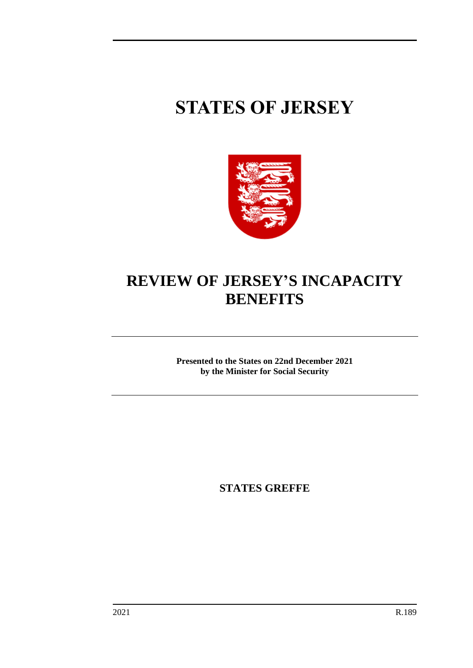# **STATES OF JERSEY**



## **REVIEW OF JERSEY'S INCAPACITY BENEFITS**

**Presented to the States on 22nd December 2021 by the Minister for Social Security**

**STATES GREFFE**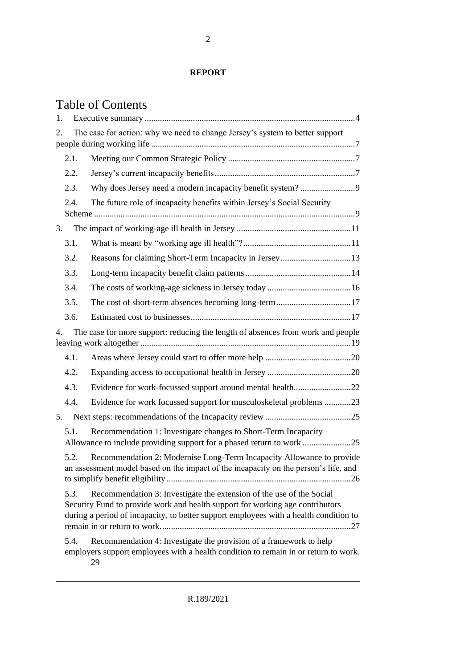#### **REPORT**

### Table of Contents

| 1. |                                                                                                                                                                                                                                                        |                                                                                                                                                                 |  |  |  |
|----|--------------------------------------------------------------------------------------------------------------------------------------------------------------------------------------------------------------------------------------------------------|-----------------------------------------------------------------------------------------------------------------------------------------------------------------|--|--|--|
| 2. |                                                                                                                                                                                                                                                        | The case for action: why we need to change Jersey's system to better support                                                                                    |  |  |  |
|    | 2.1.                                                                                                                                                                                                                                                   |                                                                                                                                                                 |  |  |  |
|    | 2.2.                                                                                                                                                                                                                                                   |                                                                                                                                                                 |  |  |  |
|    | 2.3.                                                                                                                                                                                                                                                   | Why does Jersey need a modern incapacity benefit system?9                                                                                                       |  |  |  |
|    | 2.4.                                                                                                                                                                                                                                                   | The future role of incapacity benefits within Jersey's Social Security                                                                                          |  |  |  |
| 3. |                                                                                                                                                                                                                                                        |                                                                                                                                                                 |  |  |  |
|    | 3.1.                                                                                                                                                                                                                                                   |                                                                                                                                                                 |  |  |  |
|    | 3.2.                                                                                                                                                                                                                                                   |                                                                                                                                                                 |  |  |  |
|    | 3.3.                                                                                                                                                                                                                                                   |                                                                                                                                                                 |  |  |  |
|    | 3.4.                                                                                                                                                                                                                                                   |                                                                                                                                                                 |  |  |  |
|    | 3.5.                                                                                                                                                                                                                                                   | The cost of short-term absences becoming long-term17                                                                                                            |  |  |  |
|    | 3.6.                                                                                                                                                                                                                                                   |                                                                                                                                                                 |  |  |  |
| 4. |                                                                                                                                                                                                                                                        | The case for more support: reducing the length of absences from work and people                                                                                 |  |  |  |
|    | 4.1.                                                                                                                                                                                                                                                   |                                                                                                                                                                 |  |  |  |
|    | 4.2.                                                                                                                                                                                                                                                   |                                                                                                                                                                 |  |  |  |
|    | 4.3.                                                                                                                                                                                                                                                   | Evidence for work-focussed support around mental health22                                                                                                       |  |  |  |
|    | 4.4.                                                                                                                                                                                                                                                   | Evidence for work focussed support for musculoskeletal problems 23                                                                                              |  |  |  |
| 5. |                                                                                                                                                                                                                                                        |                                                                                                                                                                 |  |  |  |
|    | 5.1.                                                                                                                                                                                                                                                   | Recommendation 1: Investigate changes to Short-Term Incapacity                                                                                                  |  |  |  |
|    | 5.2.<br>Recommendation 2: Modernise Long-Term Incapacity Allowance to provide<br>an assessment model based on the impact of the incapacity on the person's life, and                                                                                   |                                                                                                                                                                 |  |  |  |
|    | 5.3.<br>Recommendation 3: Investigate the extension of the use of the Social<br>Security Fund to provide work and health support for working age contributors<br>during a period of incapacity, to better support employees with a health condition to |                                                                                                                                                                 |  |  |  |
|    | 5.4.                                                                                                                                                                                                                                                   | Recommendation 4: Investigate the provision of a framework to help<br>employers support employees with a health condition to remain in or return to work.<br>29 |  |  |  |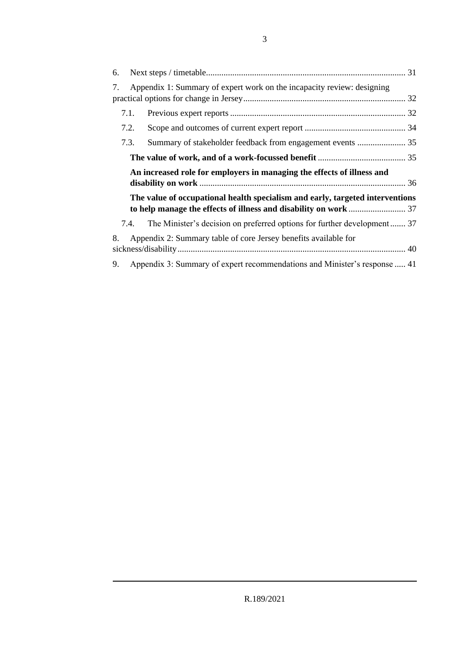| 6. |                                                                                 |  |  |  |  |
|----|---------------------------------------------------------------------------------|--|--|--|--|
| 7. | Appendix 1: Summary of expert work on the incapacity review: designing          |  |  |  |  |
|    | 7.1.                                                                            |  |  |  |  |
|    | 7.2.                                                                            |  |  |  |  |
|    | 7.3.<br>Summary of stakeholder feedback from engagement events  35              |  |  |  |  |
|    |                                                                                 |  |  |  |  |
|    | An increased role for employers in managing the effects of illness and          |  |  |  |  |
|    | The value of occupational health specialism and early, targeted interventions   |  |  |  |  |
|    | The Minister's decision on preferred options for further development 37<br>7.4. |  |  |  |  |
| 8. | Appendix 2: Summary table of core Jersey benefits available for                 |  |  |  |  |
| 9. | Appendix 3: Summary of expert recommendations and Minister's response  41       |  |  |  |  |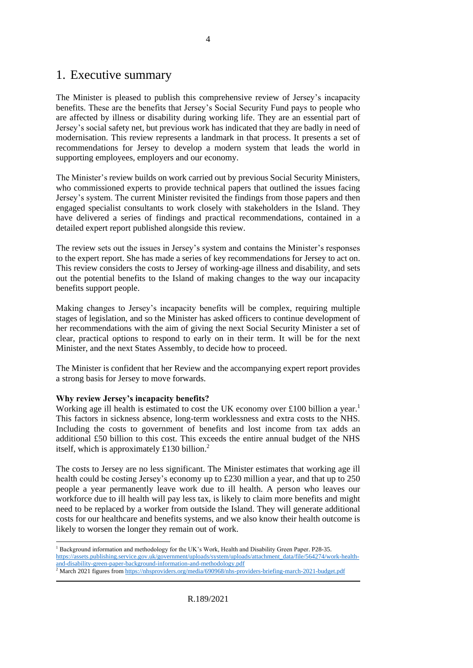### <span id="page-3-0"></span>1. Executive summary

The Minister is pleased to publish this comprehensive review of Jersey's incapacity benefits. These are the benefits that Jersey's Social Security Fund pays to people who are affected by illness or disability during working life. They are an essential part of Jersey's social safety net, but previous work has indicated that they are badly in need of modernisation. This review represents a landmark in that process. It presents a set of recommendations for Jersey to develop a modern system that leads the world in supporting employees, employers and our economy.

The Minister's review builds on work carried out by previous Social Security Ministers, who commissioned experts to provide technical papers that outlined the issues facing Jersey's system. The current Minister revisited the findings from those papers and then engaged specialist consultants to work closely with stakeholders in the Island. They have delivered a series of findings and practical recommendations, contained in a detailed expert report published alongside this review.

The review sets out the issues in Jersey's system and contains the Minister's responses to the expert report. She has made a series of key recommendations for Jersey to act on. This review considers the costs to Jersey of working-age illness and disability, and sets out the potential benefits to the Island of making changes to the way our incapacity benefits support people.

Making changes to Jersey's incapacity benefits will be complex, requiring multiple stages of legislation, and so the Minister has asked officers to continue development of her recommendations with the aim of giving the next Social Security Minister a set of clear, practical options to respond to early on in their term. It will be for the next Minister, and the next States Assembly, to decide how to proceed.

The Minister is confident that her Review and the accompanying expert report provides a strong basis for Jersey to move forwards.

#### **Why review Jersey's incapacity benefits?**

Working age ill health is estimated to cost the UK economy over £100 billion a year.<sup>1</sup> This factors in sickness absence, long-term worklessness and extra costs to the NHS. Including the costs to government of benefits and lost income from tax adds an additional £50 billion to this cost. This exceeds the entire annual budget of the NHS itself, which is approximately £130 billion.<sup>2</sup>

The costs to Jersey are no less significant. The Minister estimates that working age ill health could be costing Jersey's economy up to £230 million a year, and that up to 250 people a year permanently leave work due to ill health. A person who leaves our workforce due to ill health will pay less tax, is likely to claim more benefits and might need to be replaced by a worker from outside the Island. They will generate additional costs for our healthcare and benefits systems, and we also know their health outcome is likely to worsen the longer they remain out of work.

<sup>1</sup> Background information and methodology for the UK's Work, Health and Disability Green Paper. P28-35. [https://assets.publishing.service.gov.uk/government/uploads/system/uploads/attachment\\_data/file/564274/work-health](https://assets.publishing.service.gov.uk/government/uploads/system/uploads/attachment_data/file/564274/work-health-and-disability-green-paper-background-information-and-methodology.pdf)[and-disability-green-paper-background-information-and-methodology.pdf](https://assets.publishing.service.gov.uk/government/uploads/system/uploads/attachment_data/file/564274/work-health-and-disability-green-paper-background-information-and-methodology.pdf)

<sup>&</sup>lt;sup>2</sup> March 2021 figures fro[m https://nhsproviders.org/media/690968/nhs-providers-briefing-march-2021-budget.pdf](https://nhsproviders.org/media/690968/nhs-providers-briefing-march-2021-budget.pdf)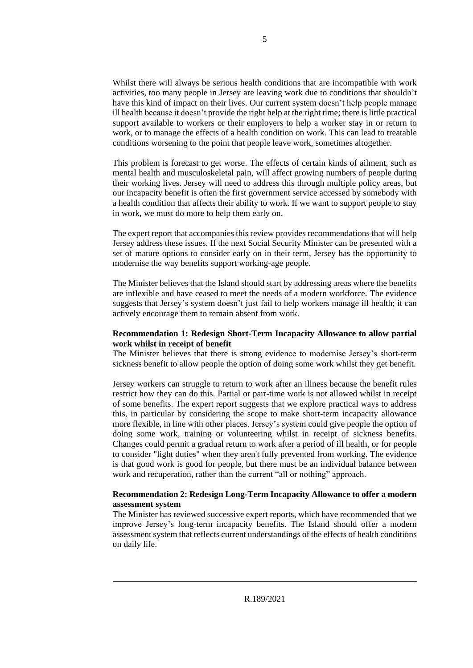Whilst there will always be serious health conditions that are incompatible with work activities, too many people in Jersey are leaving work due to conditions that shouldn't have this kind of impact on their lives. Our current system doesn't help people manage ill health because it doesn't provide the right help at the right time; there is little practical support available to workers or their employers to help a worker stay in or return to work, or to manage the effects of a health condition on work. This can lead to treatable conditions worsening to the point that people leave work, sometimes altogether.

This problem is forecast to get worse. The effects of certain kinds of ailment, such as mental health and musculoskeletal pain, will affect growing numbers of people during their working lives. Jersey will need to address this through multiple policy areas, but our incapacity benefit is often the first government service accessed by somebody with a health condition that affects their ability to work. If we want to support people to stay in work, we must do more to help them early on.

The expert report that accompanies this review provides recommendations that will help Jersey address these issues. If the next Social Security Minister can be presented with a set of mature options to consider early on in their term, Jersey has the opportunity to modernise the way benefits support working-age people.

The Minister believes that the Island should start by addressing areas where the benefits are inflexible and have ceased to meet the needs of a modern workforce. The evidence suggests that Jersey's system doesn't just fail to help workers manage ill health; it can actively encourage them to remain absent from work.

#### **Recommendation 1: Redesign Short-Term Incapacity Allowance to allow partial work whilst in receipt of benefit**

The Minister believes that there is strong evidence to modernise Jersey's short-term sickness benefit to allow people the option of doing some work whilst they get benefit.

Jersey workers can struggle to return to work after an illness because the benefit rules restrict how they can do this. Partial or part-time work is not allowed whilst in receipt of some benefits. The expert report suggests that we explore practical ways to address this, in particular by considering the scope to make short-term incapacity allowance more flexible, in line with other places. Jersey's system could give people the option of doing some work, training or volunteering whilst in receipt of sickness benefits. Changes could permit a gradual return to work after a period of ill health, or for people to consider "light duties" when they aren't fully prevented from working. The evidence is that good work is good for people, but there must be an individual balance between work and recuperation, rather than the current "all or nothing" approach.

#### **Recommendation 2: Redesign Long-Term Incapacity Allowance to offer a modern assessment system**

The Minister has reviewed successive expert reports, which have recommended that we improve Jersey's long-term incapacity benefits. The Island should offer a modern assessment system that reflects current understandings of the effects of health conditions on daily life.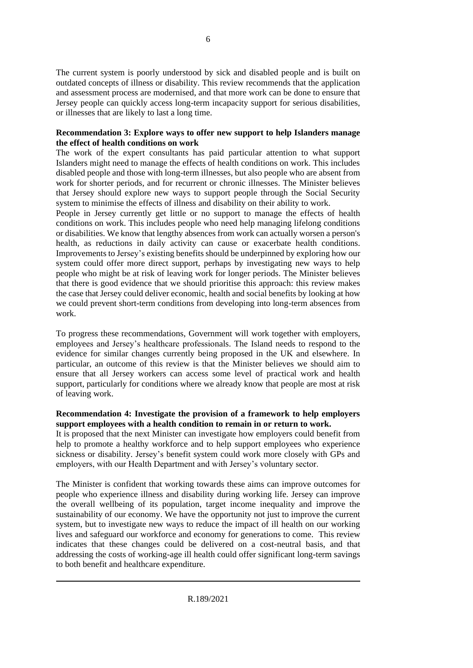The current system is poorly understood by sick and disabled people and is built on outdated concepts of illness or disability. This review recommends that the application and assessment process are modernised, and that more work can be done to ensure that Jersey people can quickly access long-term incapacity support for serious disabilities, or illnesses that are likely to last a long time.

#### **Recommendation 3: Explore ways to offer new support to help Islanders manage the effect of health conditions on work**

The work of the expert consultants has paid particular attention to what support Islanders might need to manage the effects of health conditions on work. This includes disabled people and those with long-term illnesses, but also people who are absent from work for shorter periods, and for recurrent or chronic illnesses. The Minister believes that Jersey should explore new ways to support people through the Social Security system to minimise the effects of illness and disability on their ability to work.

People in Jersey currently get little or no support to manage the effects of health conditions on work. This includes people who need help managing lifelong conditions or disabilities. We know that lengthy absences from work can actually worsen a person's health, as reductions in daily activity can cause or exacerbate health conditions. Improvements to Jersey's existing benefits should be underpinned by exploring how our system could offer more direct support, perhaps by investigating new ways to help people who might be at risk of leaving work for longer periods. The Minister believes that there is good evidence that we should prioritise this approach: this review makes the case that Jersey could deliver economic, health and social benefits by looking at how we could prevent short-term conditions from developing into long-term absences from work.

To progress these recommendations, Government will work together with employers, employees and Jersey's healthcare professionals. The Island needs to respond to the evidence for similar changes currently being proposed in the UK and elsewhere. In particular, an outcome of this review is that the Minister believes we should aim to ensure that all Jersey workers can access some level of practical work and health support, particularly for conditions where we already know that people are most at risk of leaving work.

#### **Recommendation 4: Investigate the provision of a framework to help employers support employees with a health condition to remain in or return to work.**

It is proposed that the next Minister can investigate how employers could benefit from help to promote a healthy workforce and to help support employees who experience sickness or disability. Jersey's benefit system could work more closely with GPs and employers, with our Health Department and with Jersey's voluntary sector.

The Minister is confident that working towards these aims can improve outcomes for people who experience illness and disability during working life. Jersey can improve the overall wellbeing of its population, target income inequality and improve the sustainability of our economy. We have the opportunity not just to improve the current system, but to investigate new ways to reduce the impact of ill health on our working lives and safeguard our workforce and economy for generations to come. This review indicates that these changes could be delivered on a cost-neutral basis, and that addressing the costs of working-age ill health could offer significant long-term savings to both benefit and healthcare expenditure.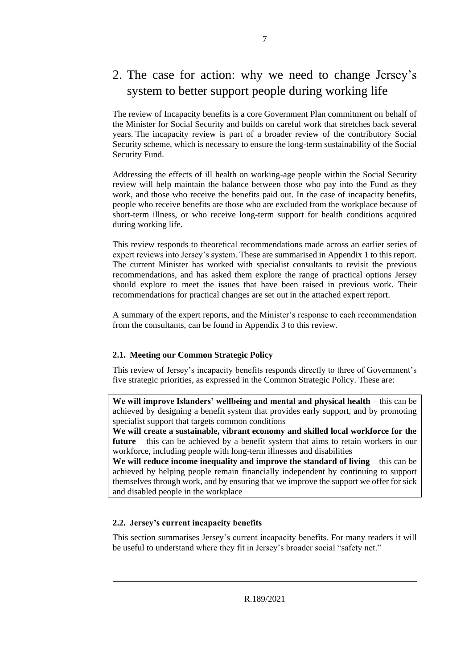### <span id="page-6-0"></span>2. The case for action: why we need to change Jersey's system to better support people during working life

The review of Incapacity benefits is a core Government Plan commitment on behalf of the Minister for Social Security and builds on careful work that stretches back several years. The incapacity review is part of a broader review of the contributory Social Security scheme, which is necessary to ensure the long-term sustainability of the Social Security Fund.

Addressing the effects of ill health on working-age people within the Social Security review will help maintain the balance between those who pay into the Fund as they work, and those who receive the benefits paid out. In the case of incapacity benefits, people who receive benefits are those who are excluded from the workplace because of short-term illness, or who receive long-term support for health conditions acquired during working life.

This review responds to theoretical recommendations made across an earlier series of expert reviews into Jersey's system. These are summarised in Appendix 1 to this report. The current Minister has worked with specialist consultants to revisit the previous recommendations, and has asked them explore the range of practical options Jersey should explore to meet the issues that have been raised in previous work. Their recommendations for practical changes are set out in the attached expert report.

A summary of the expert reports, and the Minister's response to each recommendation from the consultants, can be found in Appendix 3 to this review.

#### <span id="page-6-1"></span>**2.1. Meeting our Common Strategic Policy**

This review of Jersey's incapacity benefits responds directly to three of Government's five strategic priorities, as expressed in the Common Strategic Policy. These are:

**We will improve Islanders' wellbeing and mental and physical health** – this can be achieved by designing a benefit system that provides early support, and by promoting specialist support that targets common conditions

**We will create a sustainable, vibrant economy and skilled local workforce for the future** – this can be achieved by a benefit system that aims to retain workers in our workforce, including people with long-term illnesses and disabilities

**We will reduce income inequality and improve the standard of living** – this can be achieved by helping people remain financially independent by continuing to support themselves through work, and by ensuring that we improve the support we offer for sick and disabled people in the workplace

#### <span id="page-6-2"></span>**2.2. Jersey's current incapacity benefits**

This section summarises Jersey's current incapacity benefits. For many readers it will be useful to understand where they fit in Jersey's broader social "safety net."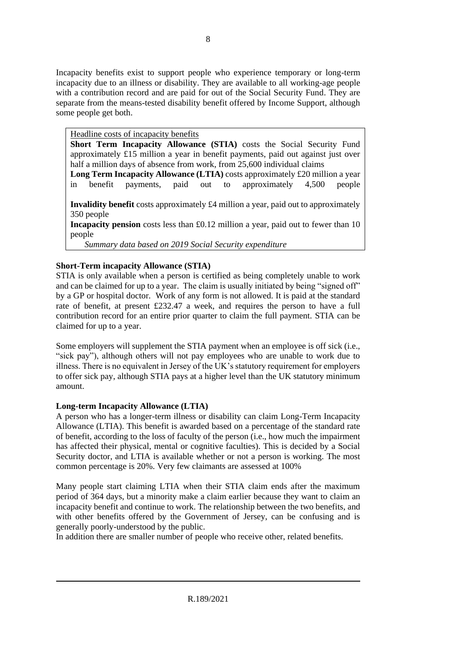Incapacity benefits exist to support people who experience temporary or long-term incapacity due to an illness or disability. They are available to all working-age people with a contribution record and are paid for out of the Social Security Fund. They are separate from the means-tested disability benefit offered by Income Support, although some people get both.

Headline costs of incapacity benefits

**Short Term Incapacity Allowance (STIA)** costs the Social Security Fund approximately £15 million a year in benefit payments, paid out against just over half a million days of absence from work, from 25,600 individual claims

**Long Term Incapacity Allowance (LTIA)** costs approximately £20 million a year in benefit payments, paid out to approximately 4,500 people

**Invalidity benefit** costs approximately £4 million a year, paid out to approximately 350 people

**Incapacity pension** costs less than £0.12 million a year, paid out to fewer than 10 people

*Summary data based on 2019 Social Security expenditure*

#### **Short-Term incapacity Allowance (STIA)**

STIA is only available when a person is certified as being completely unable to work and can be claimed for up to a year. The claim is usually initiated by being "signed off" by a GP or hospital doctor. Work of any form is not allowed. It is paid at the standard rate of benefit, at present £232.47 a week, and requires the person to have a full contribution record for an entire prior quarter to claim the full payment. STIA can be claimed for up to a year.

Some employers will supplement the STIA payment when an employee is off sick (i.e., "sick pay"), although others will not pay employees who are unable to work due to illness. There is no equivalent in Jersey of the UK's statutory requirement for employers to offer sick pay, although STIA pays at a higher level than the UK statutory minimum amount.

#### **Long-term Incapacity Allowance (LTIA)**

A person who has a longer-term illness or disability can claim Long-Term Incapacity Allowance (LTIA). This benefit is awarded based on a percentage of the standard rate of benefit, according to the loss of faculty of the person (i.e., how much the impairment has affected their physical, mental or cognitive faculties). This is decided by a Social Security doctor, and LTIA is available whether or not a person is working. The most common percentage is 20%. Very few claimants are assessed at 100%

Many people start claiming LTIA when their STIA claim ends after the maximum period of 364 days, but a minority make a claim earlier because they want to claim an incapacity benefit and continue to work. The relationship between the two benefits, and with other benefits offered by the Government of Jersey, can be confusing and is generally poorly-understood by the public.

In addition there are smaller number of people who receive other, related benefits.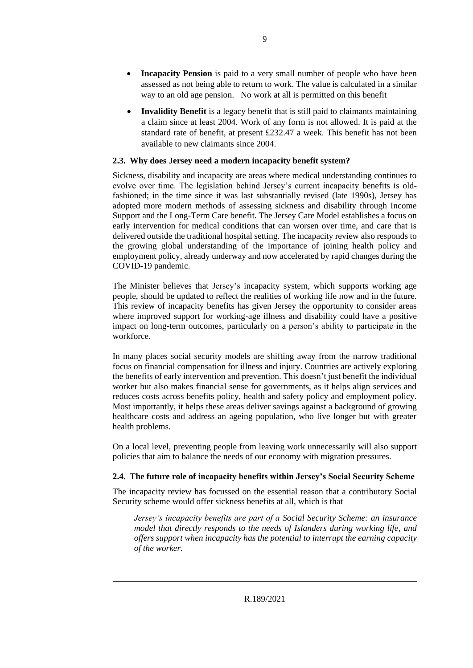- **Incapacity Pension** is paid to a very small number of people who have been assessed as not being able to return to work. The value is calculated in a similar way to an old age pension. No work at all is permitted on this benefit
- **Invalidity Benefit** is a legacy benefit that is still paid to claimants maintaining a claim since at least 2004. Work of any form is not allowed. It is paid at the standard rate of benefit, at present £232.47 a week. This benefit has not been available to new claimants since 2004.

#### <span id="page-8-0"></span>**2.3. Why does Jersey need a modern incapacity benefit system?**

Sickness, disability and incapacity are areas where medical understanding continues to evolve over time. The legislation behind Jersey's current incapacity benefits is oldfashioned; in the time since it was last substantially revised (late 1990s), Jersey has adopted more modern methods of assessing sickness and disability through Income Support and the Long-Term Care benefit. The Jersey Care Model establishes a focus on early intervention for medical conditions that can worsen over time, and care that is delivered outside the traditional hospital setting. The incapacity review also responds to the growing global understanding of the importance of joining health policy and employment policy, already underway and now accelerated by rapid changes during the COVID-19 pandemic.

The Minister believes that Jersey's incapacity system, which supports working age people, should be updated to reflect the realities of working life now and in the future. This review of incapacity benefits has given Jersey the opportunity to consider areas where improved support for working-age illness and disability could have a positive impact on long-term outcomes, particularly on a person's ability to participate in the workforce.

In many places social security models are shifting away from the narrow traditional focus on financial compensation for illness and injury. Countries are actively exploring the benefits of early intervention and prevention. This doesn't just benefit the individual worker but also makes financial sense for governments, as it helps align services and reduces costs across benefits policy, health and safety policy and employment policy. Most importantly, it helps these areas deliver savings against a background of growing healthcare costs and address an ageing population, who live longer but with greater health problems.

On a local level, preventing people from leaving work unnecessarily will also support policies that aim to balance the needs of our economy with migration pressures.

#### <span id="page-8-1"></span>**2.4. The future role of incapacity benefits within Jersey's Social Security Scheme**

The incapacity review has focussed on the essential reason that a contributory Social Security scheme would offer sickness benefits at all, which is that

*Jersey's incapacity benefits are part of a Social Security Scheme: an insurance model that directly responds to the needs of Islanders during working life, and offers support when incapacity has the potential to interrupt the earning capacity of the worker.*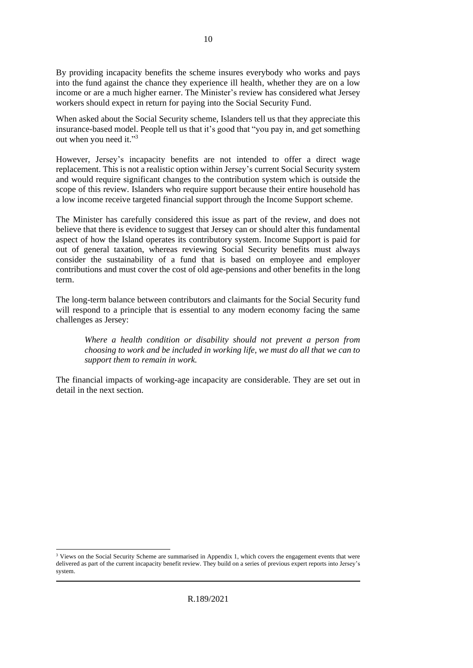By providing incapacity benefits the scheme insures everybody who works and pays into the fund against the chance they experience ill health, whether they are on a low income or are a much higher earner. The Minister's review has considered what Jersey workers should expect in return for paying into the Social Security Fund.

When asked about the Social Security scheme, Islanders tell us that they appreciate this insurance-based model. People tell us that it's good that "you pay in, and get something out when you need it."<sup>3</sup>

However, Jersey's incapacity benefits are not intended to offer a direct wage replacement. This is not a realistic option within Jersey's current Social Security system and would require significant changes to the contribution system which is outside the scope of this review. Islanders who require support because their entire household has a low income receive targeted financial support through the Income Support scheme.

The Minister has carefully considered this issue as part of the review, and does not believe that there is evidence to suggest that Jersey can or should alter this fundamental aspect of how the Island operates its contributory system. Income Support is paid for out of general taxation, whereas reviewing Social Security benefits must always consider the sustainability of a fund that is based on employee and employer contributions and must cover the cost of old age-pensions and other benefits in the long term.

The long-term balance between contributors and claimants for the Social Security fund will respond to a principle that is essential to any modern economy facing the same challenges as Jersey:

*Where a health condition or disability should not prevent a person from choosing to work and be included in working life, we must do all that we can to support them to remain in work.* 

The financial impacts of working-age incapacity are considerable. They are set out in detail in the next section.

R.189/2021

<sup>&</sup>lt;sup>3</sup> Views on the Social Security Scheme are summarised in Appendix 1, which covers the engagement events that were delivered as part of the current incapacity benefit review. They build on a series of previous expert reports into Jersey's system.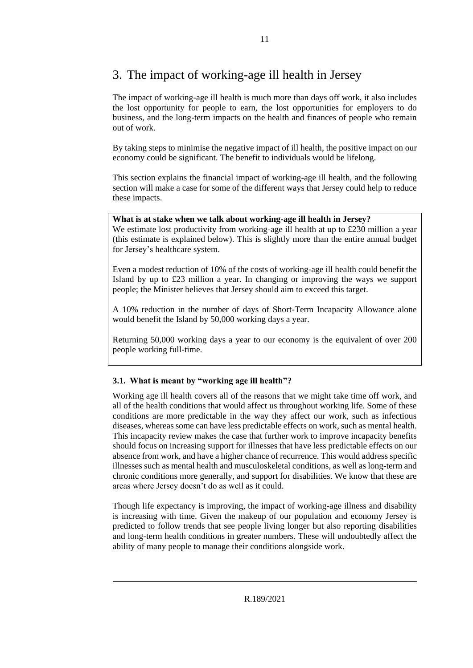### <span id="page-10-0"></span>3. The impact of working-age ill health in Jersey

The impact of working-age ill health is much more than days off work, it also includes the lost opportunity for people to earn, the lost opportunities for employers to do business, and the long-term impacts on the health and finances of people who remain out of work.

By taking steps to minimise the negative impact of ill health, the positive impact on our economy could be significant. The benefit to individuals would be lifelong.

This section explains the financial impact of working-age ill health, and the following section will make a case for some of the different ways that Jersey could help to reduce these impacts.

#### **What is at stake when we talk about working-age ill health in Jersey?**

We estimate lost productivity from working-age ill health at up to £230 million a year (this estimate is explained below). This is slightly more than the entire annual budget for Jersey's healthcare system.

Even a modest reduction of 10% of the costs of working-age ill health could benefit the Island by up to £23 million a year. In changing or improving the ways we support people; the Minister believes that Jersey should aim to exceed this target.

A 10% reduction in the number of days of Short-Term Incapacity Allowance alone would benefit the Island by 50,000 working days a year.

Returning 50,000 working days a year to our economy is the equivalent of over 200 people working full-time.

#### <span id="page-10-1"></span>**3.1. What is meant by "working age ill health"?**

Working age ill health covers all of the reasons that we might take time off work, and all of the health conditions that would affect us throughout working life. Some of these conditions are more predictable in the way they affect our work, such as infectious diseases, whereas some can have less predictable effects on work, such as mental health. This incapacity review makes the case that further work to improve incapacity benefits should focus on increasing support for illnesses that have less predictable effects on our absence from work, and have a higher chance of recurrence. This would address specific illnesses such as mental health and musculoskeletal conditions, as well as long-term and chronic conditions more generally, and support for disabilities. We know that these are areas where Jersey doesn't do as well as it could.

Though life expectancy is improving, the impact of working-age illness and disability is increasing with time. Given the makeup of our population and economy Jersey is predicted to follow trends that see people living longer but also reporting disabilities and long-term health conditions in greater numbers. These will undoubtedly affect the ability of many people to manage their conditions alongside work.

R.189/2021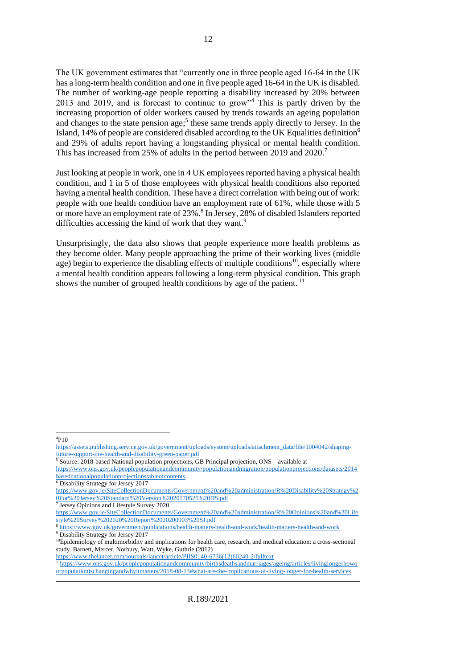The UK government estimates that "currently one in three people aged 16-64 in the UK has a long-term health condition and one in five people aged 16-64 in the UK is disabled. The number of working-age people reporting a disability increased by 20% between 2013 and 2019, and is forecast to continue to grow"<sup>4</sup> This is partly driven by the increasing proportion of older workers caused by trends towards an ageing population and changes to the state pension age; 5 these same trends apply directly to Jersey. In the Island, 14% of people are considered disabled according to the UK Equalities definition<sup>6</sup> and 29% of adults report having a longstanding physical or mental health condition. This has increased from 25% of adults in the period between 2019 and 2020.<sup>7</sup>

Just looking at people in work, one in 4 UK employees reported having a physical health condition, and 1 in 5 of those employees with physical health conditions also reported having a mental health condition. These have a direct correlation with being out of work: people with one health condition have an employment rate of 61%, while those with 5 or more have an employment rate of 23%.<sup>8</sup> In Jersey, 28% of disabled Islanders reported difficulties accessing the kind of work that they want.<sup>9</sup>

Unsurprisingly, the data also shows that people experience more health problems as they become older. Many people approaching the prime of their working lives (middle age) begin to experience the disabling effects of multiple conditions<sup>10</sup>, especially where a mental health condition appears following a long-term physical condition. This graph shows the number of grouped health conditions by age of the patient.  $11$ 

 $4P10$ 

 $5$  Source: 2018-based National population projections, GB Principal projection, ONS – available at

[https://www.thelancet.com/journals/lancet/article/PIIS0140-6736\(12\)60240-2/fulltext](https://www.thelancet.com/journals/lancet/article/PIIS0140-6736(12)60240-2/fulltext)

[https://assets.publishing.service.gov.uk/government/uploads/system/uploads/attachment\\_data/file/1004042/shaping](https://assets.publishing.service.gov.uk/government/uploads/system/uploads/attachment_data/file/1004042/shaping-future-support-the-health-and-disability-green-paper.pdf)[future-support-the-health-and-disability-green-paper.pdf](https://assets.publishing.service.gov.uk/government/uploads/system/uploads/attachment_data/file/1004042/shaping-future-support-the-health-and-disability-green-paper.pdf)

[https://www.ons.gov.uk/peoplepopulationandcommunity/populationandmigration/populationprojections/datasets/2014](https://www.ons.gov.uk/peoplepopulationandcommunity/populationandmigration/populationprojections/datasets/2014basednationalpopulationprojectionstableofcontents) [basednationalpopulationprojectionstableofcontents](https://www.ons.gov.uk/peoplepopulationandcommunity/populationandmigration/populationprojections/datasets/2014basednationalpopulationprojectionstableofcontents)

<sup>6</sup> Disability Strategy for Jersey 2017

[https://www.gov.je/SiteCollectionDocuments/Government%20and%20administration/R%20Disability%20Strategy%2](https://www.gov.je/SiteCollectionDocuments/Government%20and%20administration/R%20Disability%20Strategy%20For%20Jersey%20Standard%20Version%2020170525%20DS.pdf) [0For%20Jersey%20Standard%20Version%2020170525%20DS.pdf](https://www.gov.je/SiteCollectionDocuments/Government%20and%20administration/R%20Disability%20Strategy%20For%20Jersey%20Standard%20Version%2020170525%20DS.pdf)

<sup>7</sup> Jersey Opinions and Lifestyle Survey 2020

[https://www.gov.je/SiteCollectionDocuments/Government%20and%20administration/R%20Opinions%20and%20Life](https://www.gov.je/SiteCollectionDocuments/Government%20and%20administration/R%20Opinions%20and%20Lifestyle%20Survey%202020%20Report%2020200903%20SJ.pdf) [style%20Survey%202020%20Report%2020200903%20SJ.pdf](https://www.gov.je/SiteCollectionDocuments/Government%20and%20administration/R%20Opinions%20and%20Lifestyle%20Survey%202020%20Report%2020200903%20SJ.pdf)

<sup>8</sup> <https://www.gov.uk/government/publications/health-matters-health-and-work/health-matters-health-and-work> <sup>9</sup> Disability Strategy for Jersey 2017

<sup>&</sup>lt;sup>10</sup>Epidemiology of multimorbidity and implications for health care, research, and medical education: a cross-sectional study. Barnett, Mercer, Norbury, Watt, Wyke, Guthrie (2012)

<sup>11</sup>[https://www.ons.gov.uk/peoplepopulationandcommunity/birthsdeathsandmarriages/ageing/articles/livinglongerhowo](https://www.ons.gov.uk/peoplepopulationandcommunity/birthsdeathsandmarriages/ageing/articles/livinglongerhowourpopulationischangingandwhyitmatters/2018-08-13#what-are-the-implications-of-living-longer-for-health-services) [urpopulationischangingandwhyitmatters/2018-08-13#what-are-the-implications-of-living-longer-for-health-services](https://www.ons.gov.uk/peoplepopulationandcommunity/birthsdeathsandmarriages/ageing/articles/livinglongerhowourpopulationischangingandwhyitmatters/2018-08-13#what-are-the-implications-of-living-longer-for-health-services)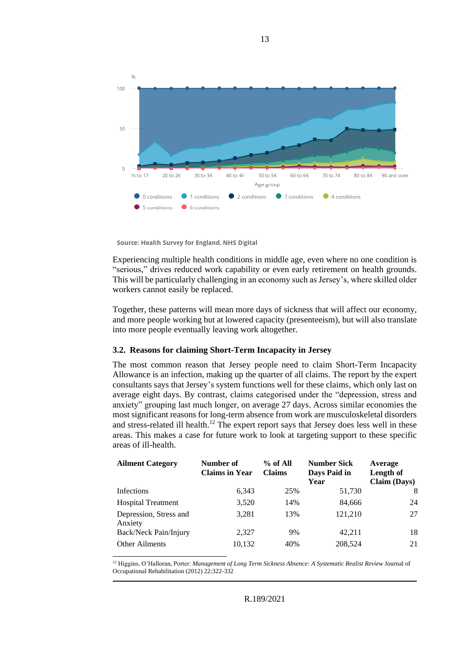

Source: Health Survey for England, NHS Digital

Experiencing multiple health conditions in middle age, even where no one condition is "serious," drives reduced work capability or even early retirement on health grounds. This will be particularly challenging in an economy such as Jersey's, where skilled older workers cannot easily be replaced.

Together, these patterns will mean more days of sickness that will affect our economy, and more people working but at lowered capacity (presenteeism), but will also translate into more people eventually leaving work altogether.

#### <span id="page-12-0"></span>**3.2. Reasons for claiming Short-Term Incapacity in Jersey**

The most common reason that Jersey people need to claim Short-Term Incapacity Allowance is an infection, making up the quarter of all claims. The report by the expert consultants says that Jersey's system functions well for these claims, which only last on average eight days. By contrast, claims categorised under the "depression, stress and anxiety" grouping last much longer, on average 27 days. Across similar economies the most significant reasons for long-term absence from work are musculoskeletal disorders and stress-related ill health.<sup>12</sup> The expert report says that Jersey does less well in these areas. This makes a case for future work to look at targeting support to these specific areas of ill-health.

| <b>Ailment Category</b>           | Number of<br><b>Claims in Year</b> | $%$ of All<br><b>Claims</b> | <b>Number Sick</b><br>Days Paid in<br>Year | Average<br>Length of<br><b>Claim (Days)</b> |
|-----------------------------------|------------------------------------|-----------------------------|--------------------------------------------|---------------------------------------------|
| Infections                        | 6,343                              | 25%                         | 51,730                                     | 8                                           |
| <b>Hospital Treatment</b>         | 3,520                              | 14%                         | 84,666                                     | 24                                          |
| Depression, Stress and<br>Anxiety | 3,281                              | 13%                         | 121,210                                    | 27                                          |
| Back/Neck Pain/Injury             | 2,327                              | 9%                          | 42.211                                     | 18                                          |
| <b>Other Ailments</b>             | 10,132                             | 40%                         | 208,524                                    | 21                                          |

<sup>12</sup> Higgins, O'Halloran, Porter: *Management of Long Term Sickness Absence: A Systematic Realist Review* Journal of Occupational Rehabilitation (2012) 22:322-332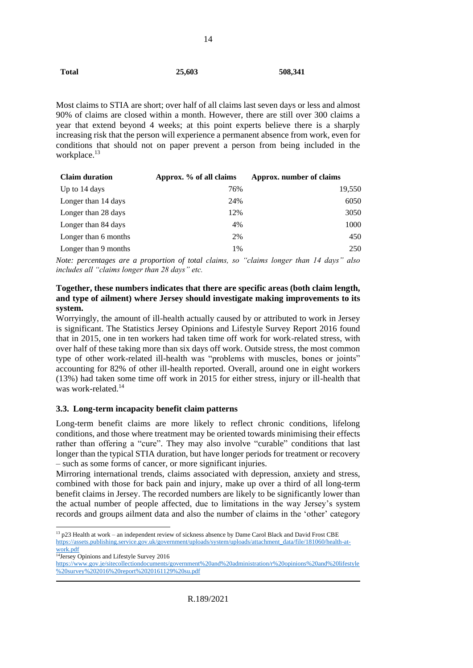Most claims to STIA are short; over half of all claims last seven days or less and almost 90% of claims are closed within a month. However, there are still over 300 claims a year that extend beyond 4 weeks; at this point experts believe there is a sharply increasing risk that the person will experience a permanent absence from work, even for conditions that should not on paper prevent a person from being included in the workplace.<sup>13</sup>

14

| <b>Claim duration</b> | Approx. % of all claims | Approx. number of claims |
|-----------------------|-------------------------|--------------------------|
| Up to 14 days         | 76%                     | 19,550                   |
| Longer than 14 days   | 24%                     | 6050                     |
| Longer than 28 days   | 12%                     | 3050                     |
| Longer than 84 days   | 4%                      | 1000                     |
| Longer than 6 months  | 2%                      | 450                      |
| Longer than 9 months  | 1%                      | 250                      |

*Note: percentages are a proportion of total claims, so "claims longer than 14 days" also includes all "claims longer than 28 days" etc.*

#### **Together, these numbers indicates that there are specific areas (both claim length, and type of ailment) where Jersey should investigate making improvements to its system.**

Worryingly, the amount of ill-health actually caused by or attributed to work in Jersey is significant. The Statistics Jersey Opinions and Lifestyle Survey Report 2016 found that in 2015, one in ten workers had taken time off work for work-related stress, with over half of these taking more than six days off work. Outside stress, the most common type of other work-related ill-health was "problems with muscles, bones or joints" accounting for 82% of other ill-health reported. Overall, around one in eight workers (13%) had taken some time off work in 2015 for either stress, injury or ill-health that was work-related.<sup>14</sup>

#### <span id="page-13-0"></span>**3.3. Long-term incapacity benefit claim patterns**

Long-term benefit claims are more likely to reflect chronic conditions, lifelong conditions, and those where treatment may be oriented towards minimising their effects rather than offering a "cure". They may also involve "curable" conditions that last longer than the typical STIA duration, but have longer periods for treatment or recovery – such as some forms of cancer, or more significant injuries.

Mirroring international trends, claims associated with depression, anxiety and stress, combined with those for back pain and injury, make up over a third of all long-term benefit claims in Jersey. The recorded numbers are likely to be significantly lower than the actual number of people affected, due to limitations in the way Jersey's system records and groups ailment data and also the number of claims in the 'other' category

<sup>&</sup>lt;sup>13</sup> p23 Health at work – an independent review of sickness absence by Dame Carol Black and David Frost CBE [https://assets.publishing.service.gov.uk/government/uploads/system/uploads/attachment\\_data/file/181060/health-at](https://assets.publishing.service.gov.uk/government/uploads/system/uploads/attachment_data/file/181060/health-at-work.pdf)[work.pdf](https://assets.publishing.service.gov.uk/government/uploads/system/uploads/attachment_data/file/181060/health-at-work.pdf)

<sup>&</sup>lt;sup>14</sup>Jersey Opinions and Lifestyle Survey 2016

[https://www.gov.je/sitecollectiondocuments/government%20and%20administration/r%20opinions%20and%20lifestyle](https://www.gov.je/sitecollectiondocuments/government%20and%20administration/r%20opinions%20and%20lifestyle%20survey%202016%20report%2020161129%20su.pdf) [%20survey%202016%20report%2020161129%20su.pdf](https://www.gov.je/sitecollectiondocuments/government%20and%20administration/r%20opinions%20and%20lifestyle%20survey%202016%20report%2020161129%20su.pdf)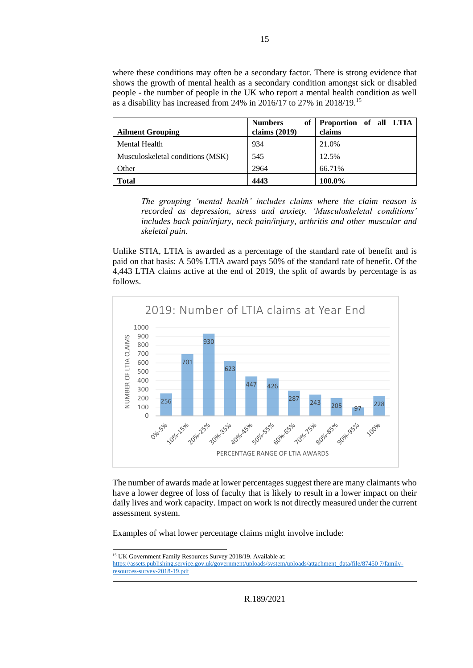where these conditions may often be a secondary factor. There is strong evidence that shows the growth of mental health as a secondary condition amongst sick or disabled people - the number of people in the UK who report a mental health condition as well as a disability has increased from 24% in 2016/17 to 27% in 2018/19.<sup>15</sup>

| <b>Ailment Grouping</b>          | of<br><b>Numbers</b><br>claims $(2019)$ | Proportion of all LTIA<br>claims |
|----------------------------------|-----------------------------------------|----------------------------------|
| Mental Health                    | 934                                     | 21.0%                            |
| Musculoskeletal conditions (MSK) | 545                                     | 12.5%                            |
| Other                            | 2964                                    | 66.71%                           |
| <b>Total</b>                     | 4443                                    | 100.0%                           |

*The grouping 'mental health' includes claims where the claim reason is recorded as depression, stress and anxiety. 'Musculoskeletal conditions' includes back pain/injury, neck pain/injury, arthritis and other muscular and skeletal pain.*

Unlike STIA, LTIA is awarded as a percentage of the standard rate of benefit and is paid on that basis: A 50% LTIA award pays 50% of the standard rate of benefit. Of the 4,443 LTIA claims active at the end of 2019, the split of awards by percentage is as follows.



The number of awards made at lower percentages suggest there are many claimants who have a lower degree of loss of faculty that is likely to result in a lower impact on their daily lives and work capacity. Impact on work is not directly measured under the current assessment system.

Examples of what lower percentage claims might involve include:

15

R.189/2021

<sup>&</sup>lt;sup>15</sup> UK Government Family Resources Survey 2018/19. Available at: [https://assets.publishing.service.gov.uk/government/uploads/system/uploads/attachment\\_data/file/87450 7/family](https://assets.publishing.service.gov.uk/government/uploads/system/uploads/attachment_data/file/87450%207/family-resources-survey-2018-19.pdf)[resources-survey-2018-19.pdf](https://assets.publishing.service.gov.uk/government/uploads/system/uploads/attachment_data/file/87450%207/family-resources-survey-2018-19.pdf)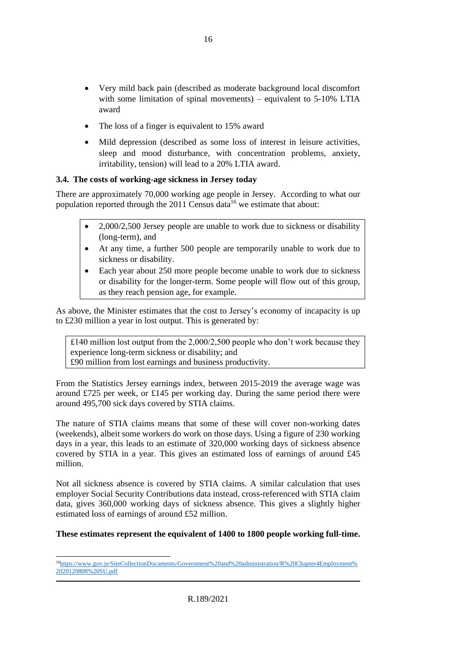- Very mild back pain (described as moderate background local discomfort with some limitation of spinal movements) – equivalent to 5-10% LTIA award
- The loss of a finger is equivalent to 15% award
- Mild depression (described as some loss of interest in leisure activities, sleep and mood disturbance, with concentration problems, anxiety, irritability, tension) will lead to a 20% LTIA award.

#### <span id="page-15-0"></span>**3.4. The costs of working-age sickness in Jersey today**

There are approximately 70,000 working age people in Jersey. According to what our population reported through the  $2011$  Census data<sup>16</sup> we estimate that about:

- 2,000/2,500 Jersey people are unable to work due to sickness or disability (long-term), and
- At any time, a further 500 people are temporarily unable to work due to sickness or disability.
- Each year about 250 more people become unable to work due to sickness or disability for the longer-term. Some people will flow out of this group, as they reach pension age, for example.

As above, the Minister estimates that the cost to Jersey's economy of incapacity is up to £230 million a year in lost output. This is generated by:

£140 million lost output from the 2,000/2,500 people who don't work because they experience long-term sickness or disability; and £90 million from lost earnings and business productivity.

From the Statistics Jersey earnings index, between 2015-2019 the average wage was around £725 per week, or £145 per working day. During the same period there were around 495,700 sick days covered by STIA claims.

The nature of STIA claims means that some of these will cover non-working dates (weekends), albeit some workers do work on those days. Using a figure of 230 working days in a year, this leads to an estimate of 320,000 working days of sickness absence covered by STIA in a year. This gives an estimated loss of earnings of around £45 million.

Not all sickness absence is covered by STIA claims. A similar calculation that uses employer Social Security Contributions data instead, cross-referenced with STIA claim data, gives 360,000 working days of sickness absence. This gives a slightly higher estimated loss of earnings of around £52 million.

#### **These estimates represent the equivalent of 1400 to 1800 people working full-time.**

<sup>16</sup>[https://www.gov.je/SiteCollectionDocuments/Government%20and%20administration/R%20Chapter4Employment%](https://www.gov.je/SiteCollectionDocuments/Government%20and%20administration/R%20Chapter4Employment%2020120808%20SU.pdf) [2020120808%20SU.pdf](https://www.gov.je/SiteCollectionDocuments/Government%20and%20administration/R%20Chapter4Employment%2020120808%20SU.pdf)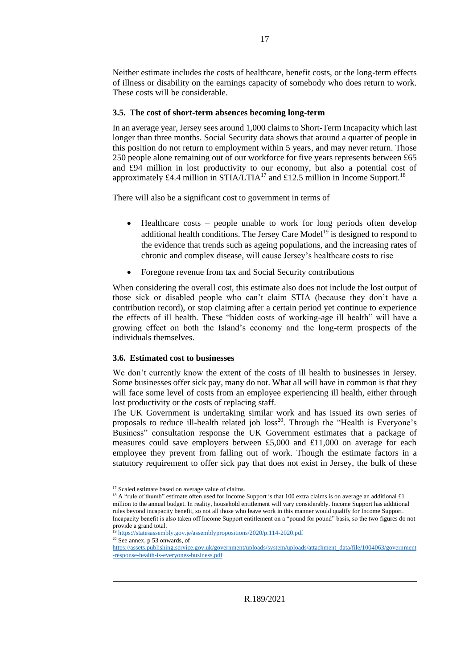Neither estimate includes the costs of healthcare, benefit costs, or the long-term effects of illness or disability on the earnings capacity of somebody who does return to work. These costs will be considerable.

#### <span id="page-16-0"></span>**3.5. The cost of short-term absences becoming long-term**

In an average year, Jersey sees around 1,000 claims to Short-Term Incapacity which last longer than three months. Social Security data shows that around a quarter of people in this position do not return to employment within 5 years, and may never return. Those 250 people alone remaining out of our workforce for five years represents between £65 and £94 million in lost productivity to our economy, but also a potential cost of approximately £4.4 million in STIA/LTIA<sup>17</sup> and £12.5 million in Income Support.<sup>18</sup>

There will also be a significant cost to government in terms of

- Healthcare costs people unable to work for long periods often develop additional health conditions. The Jersey Care Model<sup>19</sup> is designed to respond to the evidence that trends such as ageing populations, and the increasing rates of chronic and complex disease, will cause Jersey's healthcare costs to rise
- Foregone revenue from tax and Social Security contributions

When considering the overall cost, this estimate also does not include the lost output of those sick or disabled people who can't claim STIA (because they don't have a contribution record), or stop claiming after a certain period yet continue to experience the effects of ill health. These "hidden costs of working-age ill health" will have a growing effect on both the Island's economy and the long-term prospects of the individuals themselves.

#### <span id="page-16-1"></span>**3.6. Estimated cost to businesses**

We don't currently know the extent of the costs of ill health to businesses in Jersey. Some businesses offer sick pay, many do not. What all will have in common is that they will face some level of costs from an employee experiencing ill health, either through lost productivity or the costs of replacing staff.

The UK Government is undertaking similar work and has issued its own series of proposals to reduce ill-health related job  $loss^{20}$ . Through the "Health is Everyone's Business" consultation response the UK Government estimates that a package of measures could save employers between £5,000 and £11,000 on average for each employee they prevent from falling out of work. Though the estimate factors in a statutory requirement to offer sick pay that does not exist in Jersey, the bulk of these

<sup>&</sup>lt;sup>17</sup> Scaled estimate based on average value of claims.

<sup>&</sup>lt;sup>18</sup> A "rule of thumb" estimate often used for Income Support is that 100 extra claims is on average an additional £1 million to the annual budget. In reality, household entitlement will vary considerably. Income Support has additional rules beyond incapacity benefit, so not all those who leave work in this manner would qualify for Income Support. Incapacity benefit is also taken off Income Support entitlement on a "pound for pound" basis, so the two figures do not provide a grand total.

<https://statesassembly.gov.je/assemblypropositions/2020/p.114-2020.pdf>

 $20$  See annex, p 53 onwards, of

[https://assets.publishing.service.gov.uk/government/uploads/system/uploads/attachment\\_data/file/1004063/government](https://assets.publishing.service.gov.uk/government/uploads/system/uploads/attachment_data/file/1004063/government-response-health-is-everyones-business.pdf) [-response-health-is-everyones-business.pdf](https://assets.publishing.service.gov.uk/government/uploads/system/uploads/attachment_data/file/1004063/government-response-health-is-everyones-business.pdf)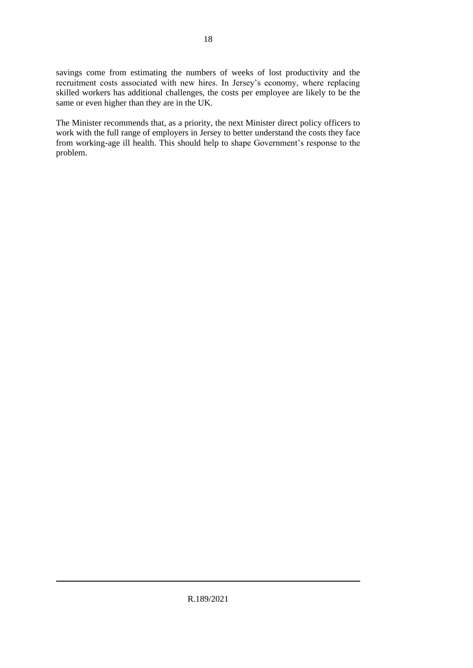savings come from estimating the numbers of weeks of lost productivity and the recruitment costs associated with new hires. In Jersey's economy, where replacing skilled workers has additional challenges, the costs per employee are likely to be the same or even higher than they are in the UK.

The Minister recommends that, as a priority, the next Minister direct policy officers to work with the full range of employers in Jersey to better understand the costs they face from working-age ill health. This should help to shape Government's response to the problem.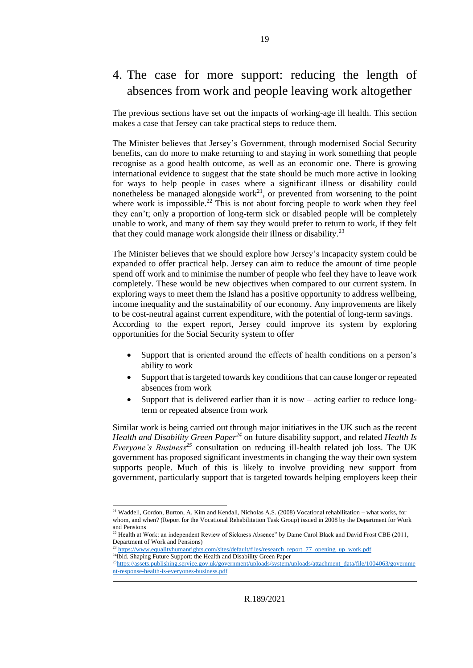### <span id="page-18-0"></span>4. The case for more support: reducing the length of absences from work and people leaving work altogether

The previous sections have set out the impacts of working-age ill health. This section makes a case that Jersey can take practical steps to reduce them.

The Minister believes that Jersey's Government, through modernised Social Security benefits, can do more to make returning to and staying in work something that people recognise as a good health outcome, as well as an economic one. There is growing international evidence to suggest that the state should be much more active in looking for ways to help people in cases where a significant illness or disability could nonetheless be managed alongside work<sup>21</sup>, or prevented from worsening to the point where work is impossible.<sup>22</sup> This is not about forcing people to work when they feel they can't; only a proportion of long-term sick or disabled people will be completely unable to work, and many of them say they would prefer to return to work, if they felt that they could manage work alongside their illness or disability.<sup>23</sup>

The Minister believes that we should explore how Jersey's incapacity system could be expanded to offer practical help. Jersey can aim to reduce the amount of time people spend off work and to minimise the number of people who feel they have to leave work completely. These would be new objectives when compared to our current system. In exploring ways to meet them the Island has a positive opportunity to address wellbeing, income inequality and the sustainability of our economy. Any improvements are likely to be cost-neutral against current expenditure, with the potential of long-term savings. According to the expert report, Jersey could improve its system by exploring opportunities for the Social Security system to offer

- Support that is oriented around the effects of health conditions on a person's ability to work
- Support that is targeted towards key conditions that can cause longer or repeated absences from work
- Support that is delivered earlier than it is now acting earlier to reduce longterm or repeated absence from work

Similar work is being carried out through major initiatives in the UK such as the recent *Health and Disability Green Paper<sup>24</sup>* on future disability support, and related *Health Is Everyone's Business<sup>25</sup>* consultation on reducing ill-health related job loss. The UK government has proposed significant investments in changing the way their own system supports people. Much of this is likely to involve providing new support from government, particularly support that is targeted towards helping employers keep their

<sup>21</sup> Waddell, Gordon, Burton, A. Kim and Kendall, Nicholas A.S. (2008) Vocational rehabilitation – what works, for whom, and when? (Report for the Vocational Rehabilitation Task Group) issued in 2008 by the Department for Work and Pensions

<sup>&</sup>lt;sup>22</sup> Health at Work: an independent Review of Sickness Absence" by Dame Carol Black and David Frost CBE (2011, Department of Work and Pensions)

[https://www.equalityhumanrights.com/sites/default/files/research\\_report\\_77\\_opening\\_up\\_work.pdf](https://www.equalityhumanrights.com/sites/default/files/research_report_77_opening_up_work.pdf) <sup>24</sup>Ibid. Shaping Future Support: the Health and Disability Green Paper

<sup>25</sup>[https://assets.publishing.service.gov.uk/government/uploads/system/uploads/attachment\\_data/file/1004063/governme](https://assets.publishing.service.gov.uk/government/uploads/system/uploads/attachment_data/file/1004063/government-response-health-is-everyones-business.pdf) [nt-response-health-is-everyones-business.pdf](https://assets.publishing.service.gov.uk/government/uploads/system/uploads/attachment_data/file/1004063/government-response-health-is-everyones-business.pdf)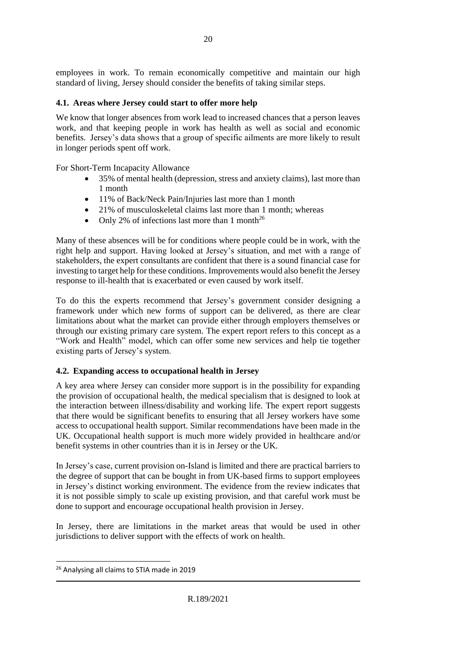employees in work. To remain economically competitive and maintain our high standard of living, Jersey should consider the benefits of taking similar steps.

#### <span id="page-19-0"></span>**4.1. Areas where Jersey could start to offer more help**

We know that longer absences from work lead to increased chances that a person leaves work, and that keeping people in work has health as well as social and economic benefits. Jersey's data shows that a group of specific ailments are more likely to result in longer periods spent off work.

For Short-Term Incapacity Allowance

- 35% of mental health (depression, stress and anxiety claims), last more than 1 month
- 11% of Back/Neck Pain/Injuries last more than 1 month
- 21% of musculoskeletal claims last more than 1 month; whereas
- Only 2% of infections last more than 1 month<sup>26</sup>

Many of these absences will be for conditions where people could be in work, with the right help and support. Having looked at Jersey's situation, and met with a range of stakeholders, the expert consultants are confident that there is a sound financial case for investing to target help for these conditions. Improvements would also benefit the Jersey response to ill-health that is exacerbated or even caused by work itself.

To do this the experts recommend that Jersey's government consider designing a framework under which new forms of support can be delivered, as there are clear limitations about what the market can provide either through employers themselves or through our existing primary care system. The expert report refers to this concept as a "Work and Health" model, which can offer some new services and help tie together existing parts of Jersey's system.

#### <span id="page-19-1"></span>**4.2. Expanding access to occupational health in Jersey**

A key area where Jersey can consider more support is in the possibility for expanding the provision of occupational health, the medical specialism that is designed to look at the interaction between illness/disability and working life. The expert report suggests that there would be significant benefits to ensuring that all Jersey workers have some access to occupational health support. Similar recommendations have been made in the UK. Occupational health support is much more widely provided in healthcare and/or benefit systems in other countries than it is in Jersey or the UK.

In Jersey's case, current provision on-Island is limited and there are practical barriers to the degree of support that can be bought in from UK-based firms to support employees in Jersey's distinct working environment. The evidence from the review indicates that it is not possible simply to scale up existing provision, and that careful work must be done to support and encourage occupational health provision in Jersey.

In Jersey, there are limitations in the market areas that would be used in other jurisdictions to deliver support with the effects of work on health.

<sup>&</sup>lt;sup>26</sup> Analysing all claims to STIA made in 2019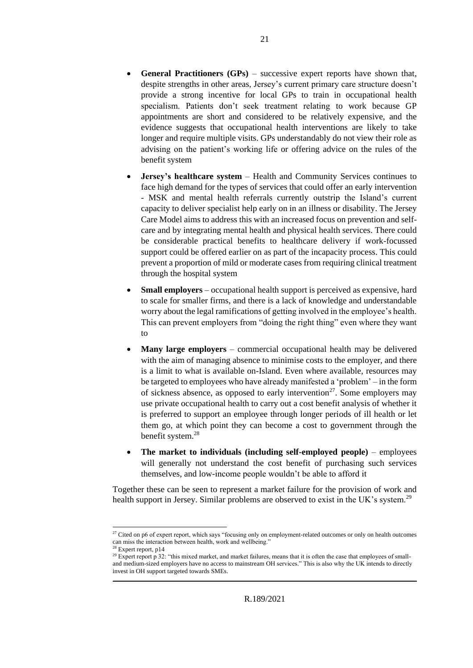- **General Practitioners (GPs)** successive expert reports have shown that, despite strengths in other areas, Jersey's current primary care structure doesn't provide a strong incentive for local GPs to train in occupational health specialism. Patients don't seek treatment relating to work because GP appointments are short and considered to be relatively expensive, and the evidence suggests that occupational health interventions are likely to take longer and require multiple visits. GPs understandably do not view their role as advising on the patient's working life or offering advice on the rules of the benefit system
- **Jersey's healthcare system** Health and Community Services continues to face high demand for the types of services that could offer an early intervention - MSK and mental health referrals currently outstrip the Island's current capacity to deliver specialist help early on in an illness or disability. The Jersey Care Model aims to address this with an increased focus on prevention and selfcare and by integrating mental health and physical health services. There could be considerable practical benefits to healthcare delivery if work-focussed support could be offered earlier on as part of the incapacity process. This could prevent a proportion of mild or moderate cases from requiring clinical treatment through the hospital system
- **Small employers** occupational health support is perceived as expensive, hard to scale for smaller firms, and there is a lack of knowledge and understandable worry about the legal ramifications of getting involved in the employee's health. This can prevent employers from "doing the right thing" even where they want to
- **Many large employers** commercial occupational health may be delivered with the aim of managing absence to minimise costs to the employer, and there is a limit to what is available on-Island. Even where available, resources may be targeted to employees who have already manifested a 'problem' – in the form of sickness absence, as opposed to early intervention<sup>27</sup>. Some employers may use private occupational health to carry out a cost benefit analysis of whether it is preferred to support an employee through longer periods of ill health or let them go, at which point they can become a cost to government through the benefit system.<sup>28</sup>
- **The market to individuals (including self-employed people)** employees will generally not understand the cost benefit of purchasing such services themselves, and low-income people wouldn't be able to afford it

Together these can be seen to represent a market failure for the provision of work and health support in Jersey. Similar problems are observed to exist in the UK's system.<sup>29</sup>

<sup>&</sup>lt;sup>27</sup> Cited on p6 of expert report, which says "focusing only on employment-related outcomes or only on health outcomes can miss the interaction between health, work and wellbeing."

 $28$  Expert report, p14

<sup>&</sup>lt;sup>29</sup> Expert report p 32: "this mixed market, and market failures, means that it is often the case that employees of smalland medium-sized employers have no access to mainstream OH services." This is also why the UK intends to directly invest in OH support targeted towards SMEs.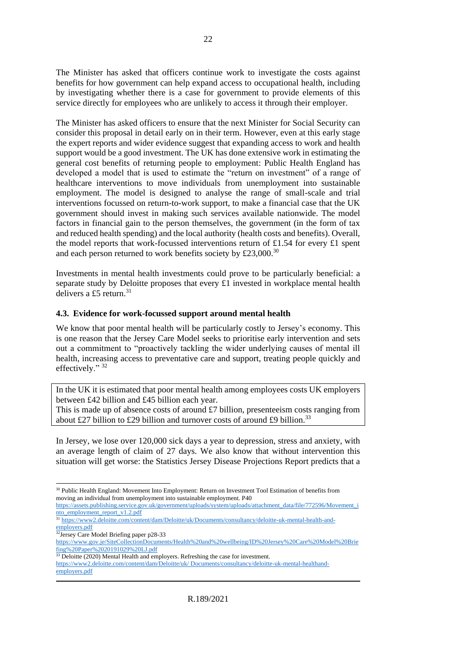The Minister has asked that officers continue work to investigate the costs against benefits for how government can help expand access to occupational health, including by investigating whether there is a case for government to provide elements of this service directly for employees who are unlikely to access it through their employer.

The Minister has asked officers to ensure that the next Minister for Social Security can consider this proposal in detail early on in their term. However, even at this early stage the expert reports and wider evidence suggest that expanding access to work and health support would be a good investment. The UK has done extensive work in estimating the general cost benefits of returning people to employment: Public Health England has developed a model that is used to estimate the "return on investment" of a range of healthcare interventions to move individuals from unemployment into sustainable employment. The model is designed to analyse the range of small-scale and trial interventions focussed on return-to-work support, to make a financial case that the UK government should invest in making such services available nationwide. The model factors in financial gain to the person themselves, the government (in the form of tax and reduced health spending) and the local authority (health costs and benefits). Overall, the model reports that work-focussed interventions return of £1.54 for every £1 spent and each person returned to work benefits society by £23,000.<sup>30</sup>

Investments in mental health investments could prove to be particularly beneficial: a separate study by Deloitte proposes that every  $\pounds$  invested in workplace mental health delivers a £5 return.<sup>31</sup>

#### <span id="page-21-0"></span>**4.3. Evidence for work-focussed support around mental health**

We know that poor mental health will be particularly costly to Jersey's economy. This is one reason that the Jersey Care Model seeks to prioritise early intervention and sets out a commitment to "proactively tackling the wider underlying causes of mental ill health, increasing access to preventative care and support, treating people quickly and effectively." <sup>32</sup>

In the UK it is estimated that poor mental health among employees costs UK employers between £42 billion and £45 billion each year.

This is made up of absence costs of around  $£7$  billion, presenteeism costs ranging from about £27 billion to £29 billion and turnover costs of around £9 billion.<sup>33</sup>

In Jersey, we lose over 120,000 sick days a year to depression, stress and anxiety, with an average length of claim of 27 days. We also know that without intervention this situation will get worse: the Statistics Jersey Disease Projections Report predicts that a

<sup>&</sup>lt;sup>30</sup> Public Health England: Movement Into Employment: Return on Investment Tool Estimation of benefits from moving an individual from unemployment into sustainable employment. P40

[https://assets.publishing.service.gov.uk/government/uploads/system/uploads/attachment\\_data/file/772596/Movement\\_i](https://assets.publishing.service.gov.uk/government/uploads/system/uploads/attachment_data/file/772596/Movement_into_employment_report_v1.2.pdf) [nto\\_employment\\_report\\_v1.2.pdf](https://assets.publishing.service.gov.uk/government/uploads/system/uploads/attachment_data/file/772596/Movement_into_employment_report_v1.2.pdf)

<sup>&</sup>lt;sup>31</sup> [https://www2.deloitte.com/content/dam/Deloitte/uk/Documents/consultancy/deloitte-uk-mental-health-and](https://www2.deloitte.com/content/dam/Deloitte/uk/Documents/consultancy/deloitte-uk-mental-health-and-employers.pdf)[employers.pdf](https://www2.deloitte.com/content/dam/Deloitte/uk/Documents/consultancy/deloitte-uk-mental-health-and-employers.pdf)

<sup>&</sup>lt;sup>32</sup>Jersey Care Model Briefing paper p28-33

[https://www.gov.je/SiteCollectionDocuments/Health%20and%20wellbeing/ID%20Jersey%20Care%20Model%20Brie](https://www.gov.je/SiteCollectionDocuments/Health%20and%20wellbeing/ID%20Jersey%20Care%20Model%20Briefing%20Paper%2020191029%20LJ.pdf) [fing%20Paper%2020191029%20LJ.pdf](https://www.gov.je/SiteCollectionDocuments/Health%20and%20wellbeing/ID%20Jersey%20Care%20Model%20Briefing%20Paper%2020191029%20LJ.pdf)

<sup>&</sup>lt;sup>33</sup> Deloitte (2020) Mental Health and employers. Refreshing the case for investment.

[https://www2.deloitte.com/content/dam/Deloitte/uk/ Documents/consultancy/deloitte-uk-mental-healthand-](https://www2.deloitte.com/content/dam/Deloitte/uk/%20Documents/consultancy/deloitte-uk-mental-healthand-employers.pdf)

[employers.pdf](https://www2.deloitte.com/content/dam/Deloitte/uk/%20Documents/consultancy/deloitte-uk-mental-healthand-employers.pdf)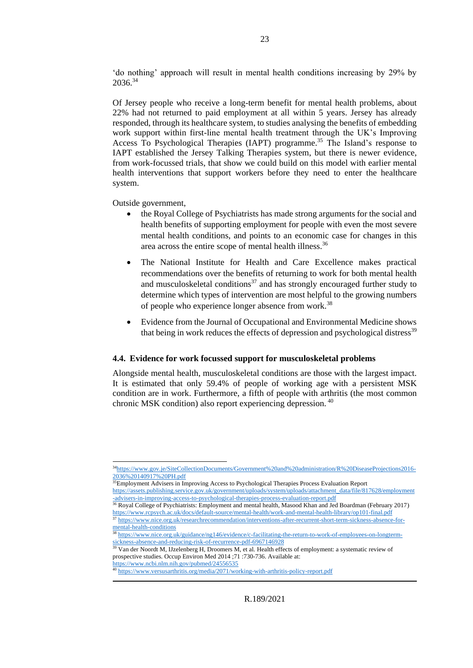'do nothing' approach will result in mental health conditions increasing by 29% by 2036.<sup>34</sup>

Of Jersey people who receive a long-term benefit for mental health problems, about 22% had not returned to paid employment at all within 5 years. Jersey has already responded, through its healthcare system, to studies analysing the benefits of embedding work support within first-line mental health treatment through the UK's Improving Access To Psychological Therapies (IAPT) programme.<sup>35</sup> The Island's response to IAPT established the Jersey Talking Therapies system, but there is newer evidence, from work-focussed trials, that show we could build on this model with earlier mental health interventions that support workers before they need to enter the healthcare system.

Outside government,

- the Royal College of Psychiatrists has made strong arguments for the social and health benefits of supporting employment for people with even the most severe mental health conditions, and points to an economic case for changes in this area across the entire scope of mental health illness.<sup>36</sup>
- The National Institute for Health and Care Excellence makes practical recommendations over the benefits of returning to work for both mental health and musculoskeletal conditions<sup>37</sup> and has strongly encouraged further study to determine which types of intervention are most helpful to the growing numbers of people who experience longer absence from work.<sup>38</sup>
- Evidence from the Journal of Occupational and Environmental Medicine shows that being in work reduces the effects of depression and psychological distress<sup>39</sup>

#### <span id="page-22-0"></span>**4.4. Evidence for work focussed support for musculoskeletal problems**

Alongside mental health, musculoskeletal conditions are those with the largest impact. It is estimated that only 59.4% of people of working age with a persistent MSK condition are in work. Furthermore, a fifth of people with arthritis (the most common chronic MSK condition) also report experiencing depression. <sup>40</sup>

<https://www.ncbi.nlm.nih.gov/pubmed/24556535>

<sup>34</sup>[https://www.gov.je/SiteCollectionDocuments/Government%20and%20administration/R%20DiseaseProjections2016-](https://www.gov.je/SiteCollectionDocuments/Government%20and%20administration/R%20DiseaseProjections2016-2036%20140917%20PH.pdf) [2036%20140917%20PH.pdf](https://www.gov.je/SiteCollectionDocuments/Government%20and%20administration/R%20DiseaseProjections2016-2036%20140917%20PH.pdf)

 $\frac{2036}{\sqrt{201}}$  SSEmployment Advisers in Improving Access to Psychological Therapies Process Evaluation Report

[https://assets.publishing.service.gov.uk/government/uploads/system/uploads/attachment\\_data/file/817628/employment](https://assets.publishing.service.gov.uk/government/uploads/system/uploads/attachment_data/file/817628/employment-advisers-in-improving-access-to-psychological-therapies-process-evaluation-report.pdf) [-advisers-in-improving-access-to-psychological-therapies-process-evaluation-report.pdf](https://assets.publishing.service.gov.uk/government/uploads/system/uploads/attachment_data/file/817628/employment-advisers-in-improving-access-to-psychological-therapies-process-evaluation-report.pdf)

<sup>&</sup>lt;sup>36</sup> Royal College of Psychiatrists: Employment and mental health, Masood Khan and Jed Boardman (February 2017) <https://www.rcpsych.ac.uk/docs/default-source/mental-health/work-and-mental-health-library/op101-final.pdf>

<sup>&</sup>lt;sup>37</sup> [https://www.nice.org.uk/researchrecommendation/interventions-after-recurrent-short-term-sickness-absence-for-](https://www.nice.org.uk/researchrecommendation/interventions-after-recurrent-short-term-sickness-absence-for-mental-health-conditions) $\frac{1}{38 \text{ h} \cdot \text{m}}$  [mental-health-conditions](https://www.nice.org.uk/researchrecommendation/interventions-after-recurrent-short-term-sickness-absence-for-mental-health-conditions) <sup>38</sup> [https://www.nice.org.uk/guidance/ng146/evidence/c-facilitating-the-return-to-work-of-employees-on-longterm-](https://www.nice.org.uk/guidance/ng146/evidence/c-facilitating-the-return-to-work-of-employees-on-longterm-sickness-absence-and-reducing-risk-of-recurrence-pdf-6967146928)

[sickness-absence-and-reducing-risk-of-recurrence-pdf-6967146928](https://www.nice.org.uk/guidance/ng146/evidence/c-facilitating-the-return-to-work-of-employees-on-longterm-sickness-absence-and-reducing-risk-of-recurrence-pdf-6967146928)

<sup>&</sup>lt;sup>39</sup> Van der Noordt M, IJzelenberg H, Droomers M, et al. Health effects of employment: a systematic review of prospective studies. Occup Environ Med 2014 ;71 :730-736. Available at:

<sup>40</sup> <https://www.versusarthritis.org/media/2071/working-with-arthritis-policy-report.pdf>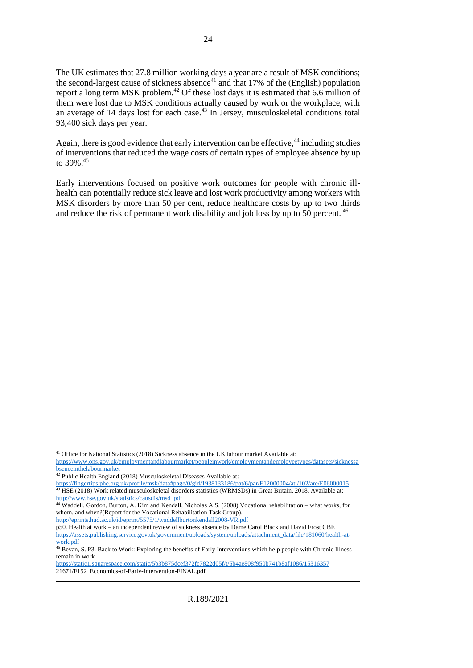The UK estimates that 27.8 million working days a year are a result of MSK conditions; the second-largest cause of sickness absence<sup>41</sup> and that 17% of the (English) population report a long term MSK problem.<sup>42</sup> Of these lost days it is estimated that 6.6 million of them were lost due to MSK conditions actually caused by work or the workplace, with an average of 14 days lost for each case.<sup>43</sup> In Jersey, musculoskeletal conditions total 93,400 sick days per year.

Again, there is good evidence that early intervention can be effective,  $44$  including studies of interventions that reduced the wage costs of certain types of employee absence by up to 39%. 45

Early interventions focused on positive work outcomes for people with chronic illhealth can potentially reduce sick leave and lost work productivity among workers with MSK disorders by more than 50 per cent, reduce healthcare costs by up to two thirds and reduce the risk of permanent work disability and job loss by up to 50 percent. <sup>46</sup>

<http://eprints.hud.ac.uk/id/eprint/5575/1/waddellburtonkendall2008-VR.pdf>

p50. Health at work – an independent review of sickness absence by Dame Carol Black and David Frost CBE [https://assets.publishing.service.gov.uk/government/uploads/system/uploads/attachment\\_data/file/181060/health-at](https://assets.publishing.service.gov.uk/government/uploads/system/uploads/attachment_data/file/181060/health-at-work.pdf)[work.pdf](https://assets.publishing.service.gov.uk/government/uploads/system/uploads/attachment_data/file/181060/health-at-work.pdf)

<sup>41</sup> Office for National Statistics (2018) Sickness absence in the UK labour market Available at: [https://www.ons.gov.uk/employmentandlabourmarket/peopleinwork/employmentandemployeetypes/datasets/sicknessa](https://www.ons.gov.uk/employmentandlabourmarket/peopleinwork/employmentandemployeetypes/datasets/sicknessabsenceinthelabourmarket)

[bsenceinthelabourmarket](https://www.ons.gov.uk/employmentandlabourmarket/peopleinwork/employmentandemployeetypes/datasets/sicknessabsenceinthelabourmarket)

 $42$  Public Health England (2018) Musculoskeletal Diseases Available at:

<https://fingertips.phe.org.uk/profile/msk/data#page/0/gid/1938133186/pat/6/par/E12000004/ati/102/are/E06000015> <sup>43</sup> HSE (2018) Work related musculoskeletal disorders statistics (WRMSDs) in Great Britain, 2018. Available at: [http://www.hse.gov.uk/statistics/causdis/msd .pdf](http://www.hse.gov.uk/statistics/causdis/msd%20.pdf)

<sup>44</sup> Waddell, Gordon, Burton, A. Kim and Kendall, Nicholas A.S. (2008) Vocational rehabilitation – what works, for whom, and when?(Report for the Vocational Rehabilitation Task Group).

<sup>46</sup> Bevan, S. P3. Back to Work: Exploring the benefits of Early Interventions which help people with Chronic Illness remain in work

<https://static1.squarespace.com/static/5b3b875dcef372fc7822d05f/t/5b4ae808f950b741b8af1086/15316357> 21671/F152\_Economics-of-Early-Intervention-FINAL.pdf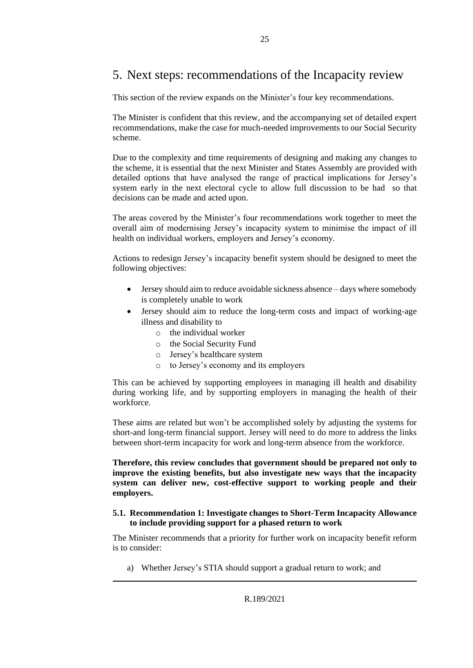### <span id="page-24-0"></span>5. Next steps: recommendations of the Incapacity review

This section of the review expands on the Minister's four key recommendations.

The Minister is confident that this review, and the accompanying set of detailed expert recommendations, make the case for much-needed improvements to our Social Security scheme.

Due to the complexity and time requirements of designing and making any changes to the scheme, it is essential that the next Minister and States Assembly are provided with detailed options that have analysed the range of practical implications for Jersey's system early in the next electoral cycle to allow full discussion to be had so that decisions can be made and acted upon.

The areas covered by the Minister's four recommendations work together to meet the overall aim of modernising Jersey's incapacity system to minimise the impact of ill health on individual workers, employers and Jersey's economy.

Actions to redesign Jersey's incapacity benefit system should be designed to meet the following objectives:

- Jersey should aim to reduce avoidable sickness absence days where somebody is completely unable to work
- Jersey should aim to reduce the long-term costs and impact of working-age illness and disability to
	- o the individual worker
	- o the Social Security Fund
	- o Jersey's healthcare system
	- o to Jersey's economy and its employers

This can be achieved by supporting employees in managing ill health and disability during working life, and by supporting employers in managing the health of their workforce.

These aims are related but won't be accomplished solely by adjusting the systems for short-and long-term financial support. Jersey will need to do more to address the links between short-term incapacity for work and long-term absence from the workforce.

**Therefore, this review concludes that government should be prepared not only to improve the existing benefits, but also investigate new ways that the incapacity system can deliver new, cost-effective support to working people and their employers.**

#### <span id="page-24-1"></span>**5.1. Recommendation 1: Investigate changes to Short-Term Incapacity Allowance to include providing support for a phased return to work**

The Minister recommends that a priority for further work on incapacity benefit reform is to consider:

a) Whether Jersey's STIA should support a gradual return to work; and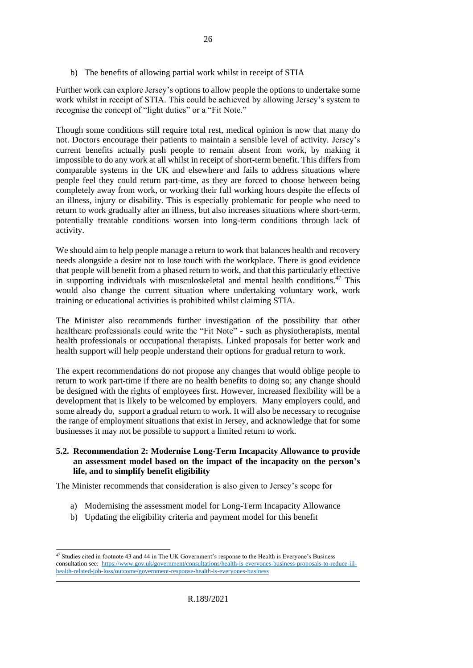b) The benefits of allowing partial work whilst in receipt of STIA

Further work can explore Jersey's options to allow people the options to undertake some work whilst in receipt of STIA. This could be achieved by allowing Jersey's system to recognise the concept of "light duties" or a "Fit Note."

Though some conditions still require total rest, medical opinion is now that many do not. Doctors encourage their patients to maintain a sensible level of activity. Jersey's current benefits actually push people to remain absent from work, by making it impossible to do any work at all whilst in receipt of short-term benefit. This differs from comparable systems in the UK and elsewhere and fails to address situations where people feel they could return part-time, as they are forced to choose between being completely away from work, or working their full working hours despite the effects of an illness, injury or disability. This is especially problematic for people who need to return to work gradually after an illness, but also increases situations where short-term, potentially treatable conditions worsen into long-term conditions through lack of activity.

We should aim to help people manage a return to work that balances health and recovery needs alongside a desire not to lose touch with the workplace. There is good evidence that people will benefit from a phased return to work, and that this particularly effective in supporting individuals with musculoskeletal and mental health conditions. $47$  This would also change the current situation where undertaking voluntary work, work training or educational activities is prohibited whilst claiming STIA.

The Minister also recommends further investigation of the possibility that other healthcare professionals could write the "Fit Note" - such as physiotherapists, mental health professionals or occupational therapists. Linked proposals for better work and health support will help people understand their options for gradual return to work.

The expert recommendations do not propose any changes that would oblige people to return to work part-time if there are no health benefits to doing so; any change should be designed with the rights of employees first. However, increased flexibility will be a development that is likely to be welcomed by employers. Many employers could, and some already do, support a gradual return to work. It will also be necessary to recognise the range of employment situations that exist in Jersey, and acknowledge that for some businesses it may not be possible to support a limited return to work.

#### <span id="page-25-0"></span>**5.2. Recommendation 2: Modernise Long-Term Incapacity Allowance to provide an assessment model based on the impact of the incapacity on the person's life, and to simplify benefit eligibility**

The Minister recommends that consideration is also given to Jersey's scope for

- a) Modernising the assessment model for Long-Term Incapacity Allowance
- b) Updating the eligibility criteria and payment model for this benefit

<sup>&</sup>lt;sup>47</sup> Studies cited in footnote 43 and 44 in The UK Government's response to the Health is Everyone's Business consultation see: [https://www.gov.uk/government/consultations/health-is-everyones-business-proposals-to-reduce-ill](https://www.gov.uk/government/consultations/health-is-everyones-business-proposals-to-reduce-ill-health-related-job-loss/outcome/government-response-health-is-everyones-business)[health-related-job-loss/outcome/government-response-health-is-everyones-business](https://www.gov.uk/government/consultations/health-is-everyones-business-proposals-to-reduce-ill-health-related-job-loss/outcome/government-response-health-is-everyones-business)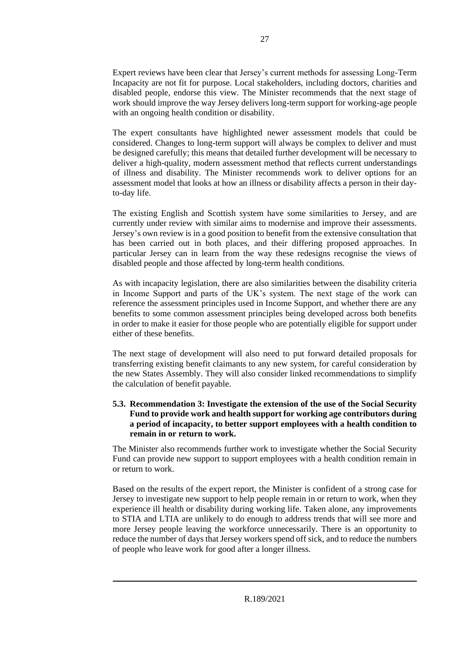Expert reviews have been clear that Jersey's current methods for assessing Long-Term Incapacity are not fit for purpose. Local stakeholders, including doctors, charities and disabled people, endorse this view. The Minister recommends that the next stage of work should improve the way Jersey delivers long-term support for working-age people with an ongoing health condition or disability.

The expert consultants have highlighted newer assessment models that could be considered. Changes to long-term support will always be complex to deliver and must be designed carefully; this means that detailed further development will be necessary to deliver a high-quality, modern assessment method that reflects current understandings of illness and disability. The Minister recommends work to deliver options for an assessment model that looks at how an illness or disability affects a person in their dayto-day life.

The existing English and Scottish system have some similarities to Jersey, and are currently under review with similar aims to modernise and improve their assessments. Jersey's own review is in a good position to benefit from the extensive consultation that has been carried out in both places, and their differing proposed approaches. In particular Jersey can in learn from the way these redesigns recognise the views of disabled people and those affected by long-term health conditions.

As with incapacity legislation, there are also similarities between the disability criteria in Income Support and parts of the UK's system. The next stage of the work can reference the assessment principles used in Income Support, and whether there are any benefits to some common assessment principles being developed across both benefits in order to make it easier for those people who are potentially eligible for support under either of these benefits.

The next stage of development will also need to put forward detailed proposals for transferring existing benefit claimants to any new system, for careful consideration by the new States Assembly. They will also consider linked recommendations to simplify the calculation of benefit payable.

#### <span id="page-26-0"></span>**5.3. Recommendation 3: Investigate the extension of the use of the Social Security Fund to provide work and health support for working age contributors during a period of incapacity, to better support employees with a health condition to remain in or return to work.**

The Minister also recommends further work to investigate whether the Social Security Fund can provide new support to support employees with a health condition remain in or return to work.

Based on the results of the expert report, the Minister is confident of a strong case for Jersey to investigate new support to help people remain in or return to work, when they experience ill health or disability during working life. Taken alone, any improvements to STIA and LTIA are unlikely to do enough to address trends that will see more and more Jersey people leaving the workforce unnecessarily. There is an opportunity to reduce the number of days that Jersey workers spend off sick, and to reduce the numbers of people who leave work for good after a longer illness.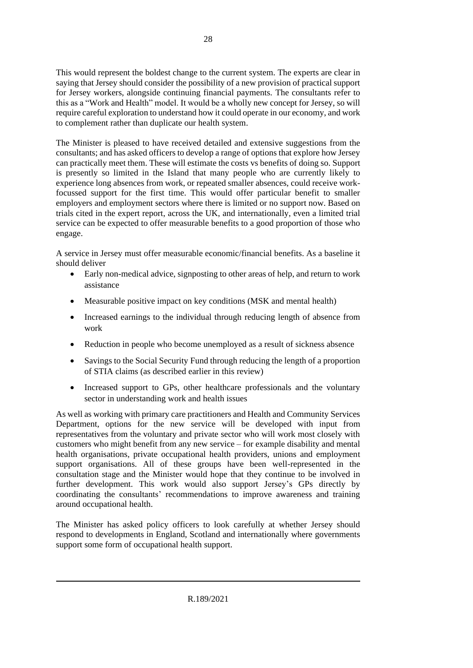This would represent the boldest change to the current system. The experts are clear in saying that Jersey should consider the possibility of a new provision of practical support for Jersey workers, alongside continuing financial payments. The consultants refer to this as a "Work and Health" model. It would be a wholly new concept for Jersey, so will require careful exploration to understand how it could operate in our economy, and work to complement rather than duplicate our health system.

The Minister is pleased to have received detailed and extensive suggestions from the consultants; and has asked officers to develop a range of options that explore how Jersey can practically meet them. These will estimate the costs vs benefits of doing so. Support is presently so limited in the Island that many people who are currently likely to experience long absences from work, or repeated smaller absences, could receive workfocussed support for the first time. This would offer particular benefit to smaller employers and employment sectors where there is limited or no support now. Based on trials cited in the expert report, across the UK, and internationally, even a limited trial service can be expected to offer measurable benefits to a good proportion of those who engage.

A service in Jersey must offer measurable economic/financial benefits. As a baseline it should deliver

- Early non-medical advice, signposting to other areas of help, and return to work assistance
- Measurable positive impact on key conditions (MSK and mental health)
- Increased earnings to the individual through reducing length of absence from work
- Reduction in people who become unemployed as a result of sickness absence
- Savings to the Social Security Fund through reducing the length of a proportion of STIA claims (as described earlier in this review)
- Increased support to GPs, other healthcare professionals and the voluntary sector in understanding work and health issues

As well as working with primary care practitioners and Health and Community Services Department, options for the new service will be developed with input from representatives from the voluntary and private sector who will work most closely with customers who might benefit from any new service – for example disability and mental health organisations, private occupational health providers, unions and employment support organisations. All of these groups have been well-represented in the consultation stage and the Minister would hope that they continue to be involved in further development. This work would also support Jersey's GPs directly by coordinating the consultants' recommendations to improve awareness and training around occupational health.

The Minister has asked policy officers to look carefully at whether Jersey should respond to developments in England, Scotland and internationally where governments support some form of occupational health support.

R.189/2021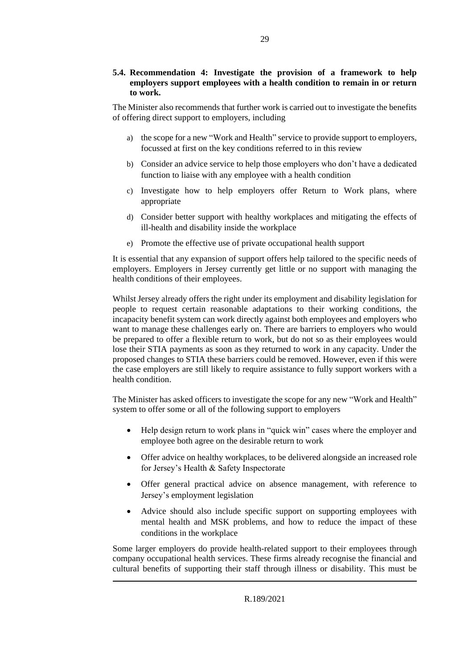#### <span id="page-28-0"></span>**5.4. Recommendation 4: Investigate the provision of a framework to help employers support employees with a health condition to remain in or return to work.**

The Minister also recommends that further work is carried out to investigate the benefits of offering direct support to employers, including

- a) the scope for a new "Work and Health" service to provide support to employers, focussed at first on the key conditions referred to in this review
- b) Consider an advice service to help those employers who don't have a dedicated function to liaise with any employee with a health condition
- c) Investigate how to help employers offer Return to Work plans, where appropriate
- d) Consider better support with healthy workplaces and mitigating the effects of ill-health and disability inside the workplace
- e) Promote the effective use of private occupational health support

It is essential that any expansion of support offers help tailored to the specific needs of employers. Employers in Jersey currently get little or no support with managing the health conditions of their employees.

Whilst Jersey already offers the right under its employment and disability legislation for people to request certain reasonable adaptations to their working conditions, the incapacity benefit system can work directly against both employees and employers who want to manage these challenges early on. There are barriers to employers who would be prepared to offer a flexible return to work, but do not so as their employees would lose their STIA payments as soon as they returned to work in any capacity. Under the proposed changes to STIA these barriers could be removed. However, even if this were the case employers are still likely to require assistance to fully support workers with a health condition.

The Minister has asked officers to investigate the scope for any new "Work and Health" system to offer some or all of the following support to employers

- Help design return to work plans in "quick win" cases where the employer and employee both agree on the desirable return to work
- Offer advice on healthy workplaces, to be delivered alongside an increased role for Jersey's Health & Safety Inspectorate
- Offer general practical advice on absence management, with reference to Jersey's employment legislation
- Advice should also include specific support on supporting employees with mental health and MSK problems, and how to reduce the impact of these conditions in the workplace

Some larger employers do provide health-related support to their employees through company occupational health services. These firms already recognise the financial and cultural benefits of supporting their staff through illness or disability. This must be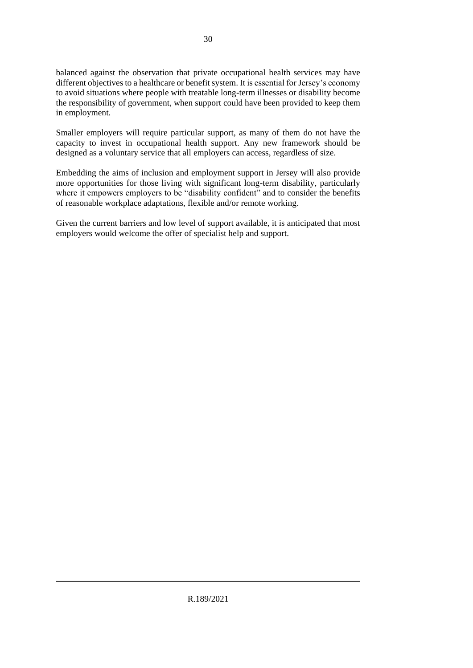balanced against the observation that private occupational health services may have different objectives to a healthcare or benefit system. It is essential for Jersey's economy to avoid situations where people with treatable long-term illnesses or disability become the responsibility of government, when support could have been provided to keep them in employment.

Smaller employers will require particular support, as many of them do not have the capacity to invest in occupational health support. Any new framework should be designed as a voluntary service that all employers can access, regardless of size.

Embedding the aims of inclusion and employment support in Jersey will also provide more opportunities for those living with significant long-term disability, particularly where it empowers employers to be "disability confident" and to consider the benefits of reasonable workplace adaptations, flexible and/or remote working.

Given the current barriers and low level of support available, it is anticipated that most employers would welcome the offer of specialist help and support.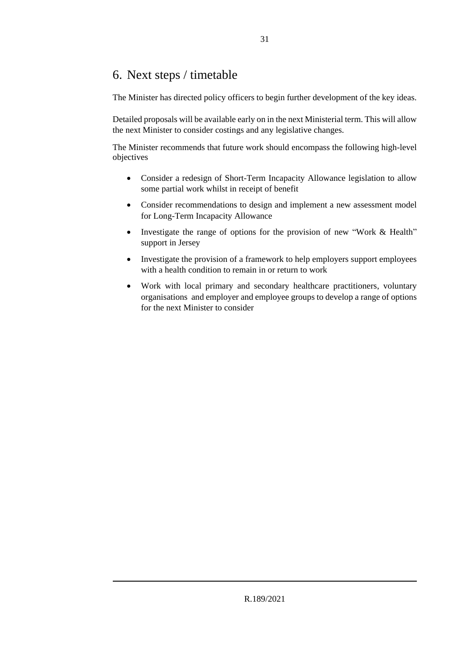### <span id="page-30-0"></span>6. Next steps / timetable

The Minister has directed policy officers to begin further development of the key ideas.

Detailed proposals will be available early on in the next Ministerial term. This will allow the next Minister to consider costings and any legislative changes.

The Minister recommends that future work should encompass the following high-level objectives

- Consider a redesign of Short-Term Incapacity Allowance legislation to allow some partial work whilst in receipt of benefit
- Consider recommendations to design and implement a new assessment model for Long-Term Incapacity Allowance
- Investigate the range of options for the provision of new "Work & Health" support in Jersey
- Investigate the provision of a framework to help employers support employees with a health condition to remain in or return to work
- Work with local primary and secondary healthcare practitioners, voluntary organisations and employer and employee groups to develop a range of options for the next Minister to consider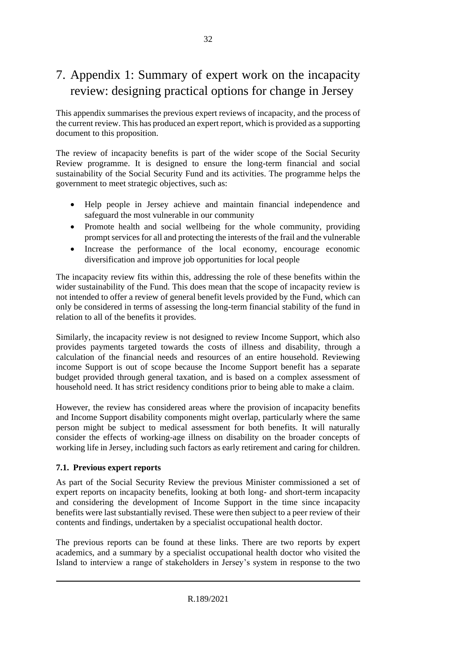### <span id="page-31-0"></span>7. Appendix 1: Summary of expert work on the incapacity review: designing practical options for change in Jersey

This appendix summarises the previous expert reviews of incapacity, and the process of the current review. This has produced an expert report, which is provided as a supporting document to this proposition.

The review of incapacity benefits is part of the wider scope of the Social Security Review programme. It is designed to ensure the long-term financial and social sustainability of the Social Security Fund and its activities. The programme helps the government to meet strategic objectives, such as:

- Help people in Jersey achieve and maintain financial independence and safeguard the most vulnerable in our community
- Promote health and social wellbeing for the whole community, providing prompt services for all and protecting the interests of the frail and the vulnerable
- Increase the performance of the local economy, encourage economic diversification and improve job opportunities for local people

The incapacity review fits within this, addressing the role of these benefits within the wider sustainability of the Fund. This does mean that the scope of incapacity review is not intended to offer a review of general benefit levels provided by the Fund, which can only be considered in terms of assessing the long-term financial stability of the fund in relation to all of the benefits it provides.

Similarly, the incapacity review is not designed to review Income Support, which also provides payments targeted towards the costs of illness and disability, through a calculation of the financial needs and resources of an entire household. Reviewing income Support is out of scope because the Income Support benefit has a separate budget provided through general taxation, and is based on a complex assessment of household need. It has strict residency conditions prior to being able to make a claim.

However, the review has considered areas where the provision of incapacity benefits and Income Support disability components might overlap, particularly where the same person might be subject to medical assessment for both benefits. It will naturally consider the effects of working-age illness on disability on the broader concepts of working life in Jersey, including such factors as early retirement and caring for children.

#### <span id="page-31-1"></span>**7.1. Previous expert reports**

As part of the Social Security Review the previous Minister commissioned a set of expert reports on incapacity benefits, looking at both long- and short-term incapacity and considering the development of Income Support in the time since incapacity benefits were last substantially revised. These were then subject to a peer review of their contents and findings, undertaken by a specialist occupational health doctor.

The previous reports can be found at these links. There are two reports by expert academics, and a summary by a specialist occupational health doctor who visited the Island to interview a range of stakeholders in Jersey's system in response to the two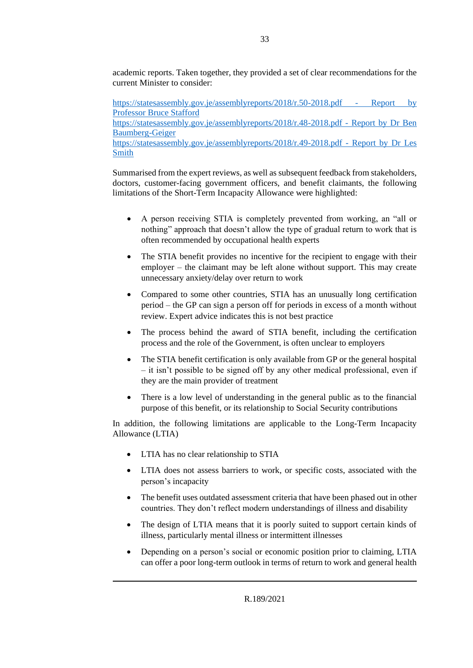academic reports. Taken together, they provided a set of clear recommendations for the current Minister to consider:

[https://statesassembly.gov.je/assemblyreports/2018/r.50-2018.pdf -](https://statesassembly.gov.je/assemblyreports/2018/r.50-2018.pdf) Report by [Professor Bruce Stafford](https://statesassembly.gov.je/assemblyreports/2018/r.50-2018.pdf) [https://statesassembly.gov.je/assemblyreports/2018/r.48-2018.pdf -](https://statesassembly.gov.je/assemblyreports/2018/r.48-2018.pdf) Report by Dr Ben [Baumberg-Geiger](https://statesassembly.gov.je/assemblyreports/2018/r.48-2018.pdf) [https://statesassembly.gov.je/assemblyreports/2018/r.49-2018.pdf -](https://statesassembly.gov.je/assemblyreports/2018/r.49-2018.pdf) Report by Dr Les [Smith](https://statesassembly.gov.je/assemblyreports/2018/r.49-2018.pdf)

Summarised from the expert reviews, as well as subsequent feedback from stakeholders, doctors, customer-facing government officers, and benefit claimants, the following limitations of the Short-Term Incapacity Allowance were highlighted:

- A person receiving STIA is completely prevented from working, an "all or nothing" approach that doesn't allow the type of gradual return to work that is often recommended by occupational health experts
- The STIA benefit provides no incentive for the recipient to engage with their employer – the claimant may be left alone without support. This may create unnecessary anxiety/delay over return to work
- Compared to some other countries, STIA has an unusually long certification period – the GP can sign a person off for periods in excess of a month without review. Expert advice indicates this is not best practice
- The process behind the award of STIA benefit, including the certification process and the role of the Government, is often unclear to employers
- The STIA benefit certification is only available from GP or the general hospital – it isn't possible to be signed off by any other medical professional, even if they are the main provider of treatment
- There is a low level of understanding in the general public as to the financial purpose of this benefit, or its relationship to Social Security contributions

In addition, the following limitations are applicable to the Long-Term Incapacity Allowance (LTIA)

- LTIA has no clear relationship to STIA
- LTIA does not assess barriers to work, or specific costs, associated with the person's incapacity
- The benefit uses outdated assessment criteria that have been phased out in other countries. They don't reflect modern understandings of illness and disability
- The design of LTIA means that it is poorly suited to support certain kinds of illness, particularly mental illness or intermittent illnesses
- Depending on a person's social or economic position prior to claiming, LTIA can offer a poor long-term outlook in terms of return to work and general health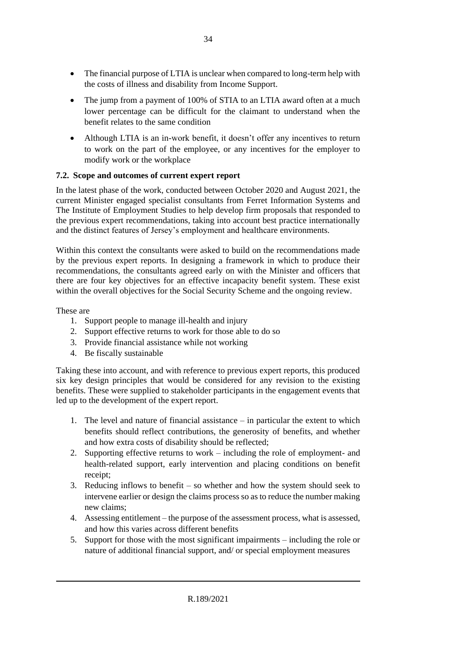- The financial purpose of LTIA is unclear when compared to long-term help with the costs of illness and disability from Income Support.
- The jump from a payment of 100% of STIA to an LTIA award often at a much lower percentage can be difficult for the claimant to understand when the benefit relates to the same condition
- Although LTIA is an in-work benefit, it doesn't offer any incentives to return to work on the part of the employee, or any incentives for the employer to modify work or the workplace

#### <span id="page-33-0"></span>**7.2. Scope and outcomes of current expert report**

In the latest phase of the work, conducted between October 2020 and August 2021, the current Minister engaged specialist consultants from Ferret Information Systems and The Institute of Employment Studies to help develop firm proposals that responded to the previous expert recommendations, taking into account best practice internationally and the distinct features of Jersey's employment and healthcare environments.

Within this context the consultants were asked to build on the recommendations made by the previous expert reports. In designing a framework in which to produce their recommendations, the consultants agreed early on with the Minister and officers that there are four key objectives for an effective incapacity benefit system. These exist within the overall objectives for the Social Security Scheme and the ongoing review.

These are

- 1. Support people to manage ill-health and injury
- 2. Support effective returns to work for those able to do so
- 3. Provide financial assistance while not working
- 4. Be fiscally sustainable

Taking these into account, and with reference to previous expert reports, this produced six key design principles that would be considered for any revision to the existing benefits. These were supplied to stakeholder participants in the engagement events that led up to the development of the expert report.

- 1. The level and nature of financial assistance in particular the extent to which benefits should reflect contributions, the generosity of benefits, and whether and how extra costs of disability should be reflected;
- 2. Supporting effective returns to work including the role of employment- and health-related support, early intervention and placing conditions on benefit receipt;
- 3. Reducing inflows to benefit so whether and how the system should seek to intervene earlier or design the claims process so as to reduce the number making new claims;
- 4. Assessing entitlement the purpose of the assessment process, what is assessed, and how this varies across different benefits
- 5. Support for those with the most significant impairments including the role or nature of additional financial support, and/ or special employment measures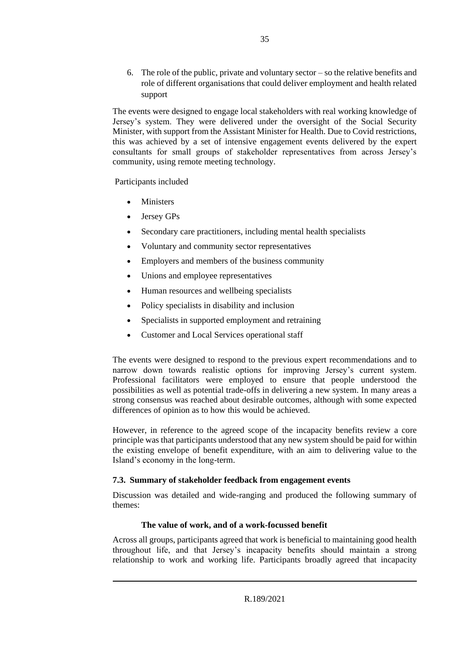6. The role of the public, private and voluntary sector – so the relative benefits and role of different organisations that could deliver employment and health related support

The events were designed to engage local stakeholders with real working knowledge of Jersey's system. They were delivered under the oversight of the Social Security Minister, with support from the Assistant Minister for Health. Due to Covid restrictions, this was achieved by a set of intensive engagement events delivered by the expert consultants for small groups of stakeholder representatives from across Jersey's community, using remote meeting technology.

Participants included

- Ministers
- Jersey GPs
- Secondary care practitioners, including mental health specialists
- Voluntary and community sector representatives
- Employers and members of the business community
- Unions and employee representatives
- Human resources and wellbeing specialists
- Policy specialists in disability and inclusion
- Specialists in supported employment and retraining
- Customer and Local Services operational staff

The events were designed to respond to the previous expert recommendations and to narrow down towards realistic options for improving Jersey's current system. Professional facilitators were employed to ensure that people understood the possibilities as well as potential trade-offs in delivering a new system. In many areas a strong consensus was reached about desirable outcomes, although with some expected differences of opinion as to how this would be achieved.

However, in reference to the agreed scope of the incapacity benefits review a core principle was that participants understood that any new system should be paid for within the existing envelope of benefit expenditure, with an aim to delivering value to the Island's economy in the long-term.

#### <span id="page-34-0"></span>**7.3. Summary of stakeholder feedback from engagement events**

Discussion was detailed and wide-ranging and produced the following summary of themes:

#### <span id="page-34-1"></span>**The value of work, and of a work-focussed benefit**

Across all groups, participants agreed that work is beneficial to maintaining good health throughout life, and that Jersey's incapacity benefits should maintain a strong relationship to work and working life. Participants broadly agreed that incapacity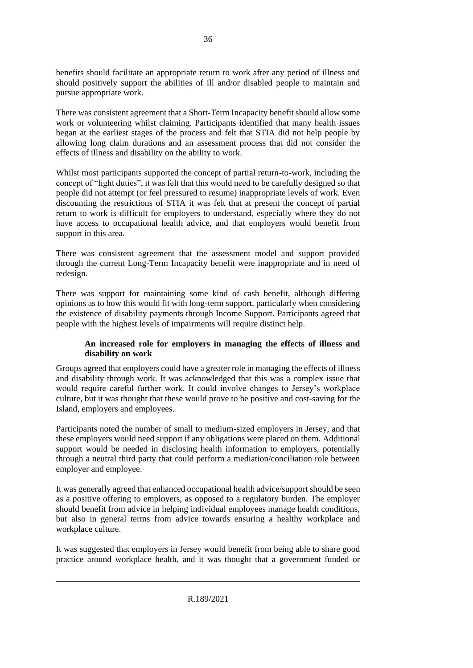benefits should facilitate an appropriate return to work after any period of illness and should positively support the abilities of ill and/or disabled people to maintain and pursue appropriate work.

There was consistent agreement that a Short-Term Incapacity benefit should allow some work or volunteering whilst claiming. Participants identified that many health issues began at the earliest stages of the process and felt that STIA did not help people by allowing long claim durations and an assessment process that did not consider the effects of illness and disability on the ability to work.

Whilst most participants supported the concept of partial return-to-work, including the concept of "light duties", it was felt that this would need to be carefully designed so that people did not attempt (or feel pressured to resume) inappropriate levels of work. Even discounting the restrictions of STIA it was felt that at present the concept of partial return to work is difficult for employers to understand, especially where they do not have access to occupational health advice, and that employers would benefit from support in this area.

There was consistent agreement that the assessment model and support provided through the current Long-Term Incapacity benefit were inappropriate and in need of redesign.

There was support for maintaining some kind of cash benefit, although differing opinions as to how this would fit with long-term support, particularly when considering the existence of disability payments through Income Support. Participants agreed that people with the highest levels of impairments will require distinct help.

#### <span id="page-35-0"></span>**An increased role for employers in managing the effects of illness and disability on work**

Groups agreed that employers could have a greater role in managing the effects of illness and disability through work. It was acknowledged that this was a complex issue that would require careful further work. It could involve changes to Jersey's workplace culture, but it was thought that these would prove to be positive and cost-saving for the Island, employers and employees.

Participants noted the number of small to medium-sized employers in Jersey, and that these employers would need support if any obligations were placed on them. Additional support would be needed in disclosing health information to employers, potentially through a neutral third party that could perform a mediation/conciliation role between employer and employee.

It was generally agreed that enhanced occupational health advice/support should be seen as a positive offering to employers, as opposed to a regulatory burden. The employer should benefit from advice in helping individual employees manage health conditions, but also in general terms from advice towards ensuring a healthy workplace and workplace culture.

It was suggested that employers in Jersey would benefit from being able to share good practice around workplace health, and it was thought that a government funded or

R.189/2021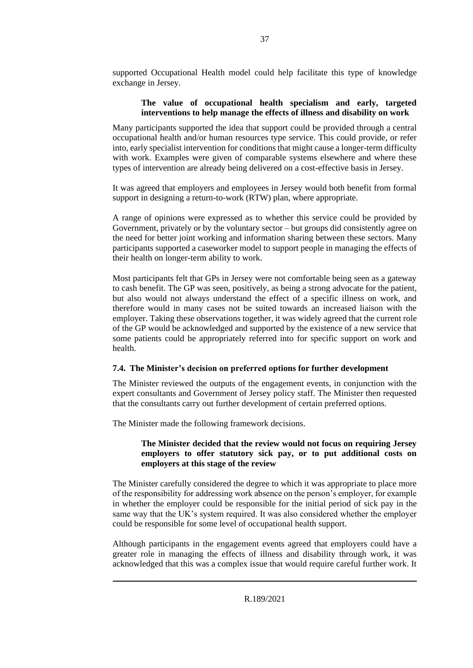supported Occupational Health model could help facilitate this type of knowledge exchange in Jersey.

#### <span id="page-36-0"></span>**The value of occupational health specialism and early, targeted interventions to help manage the effects of illness and disability on work**

Many participants supported the idea that support could be provided through a central occupational health and/or human resources type service. This could provide, or refer into, early specialist intervention for conditions that might cause a longer-term difficulty with work. Examples were given of comparable systems elsewhere and where these types of intervention are already being delivered on a cost-effective basis in Jersey.

It was agreed that employers and employees in Jersey would both benefit from formal support in designing a return-to-work (RTW) plan, where appropriate.

A range of opinions were expressed as to whether this service could be provided by Government, privately or by the voluntary sector – but groups did consistently agree on the need for better joint working and information sharing between these sectors. Many participants supported a caseworker model to support people in managing the effects of their health on longer-term ability to work.

Most participants felt that GPs in Jersey were not comfortable being seen as a gateway to cash benefit. The GP was seen, positively, as being a strong advocate for the patient, but also would not always understand the effect of a specific illness on work, and therefore would in many cases not be suited towards an increased liaison with the employer. Taking these observations together, it was widely agreed that the current role of the GP would be acknowledged and supported by the existence of a new service that some patients could be appropriately referred into for specific support on work and health.

#### <span id="page-36-1"></span>**7.4. The Minister's decision on preferred options for further development**

The Minister reviewed the outputs of the engagement events, in conjunction with the expert consultants and Government of Jersey policy staff. The Minister then requested that the consultants carry out further development of certain preferred options.

The Minister made the following framework decisions.

#### **The Minister decided that the review would not focus on requiring Jersey employers to offer statutory sick pay, or to put additional costs on employers at this stage of the review**

The Minister carefully considered the degree to which it was appropriate to place more of the responsibility for addressing work absence on the person's employer, for example in whether the employer could be responsible for the initial period of sick pay in the same way that the UK's system required. It was also considered whether the employer could be responsible for some level of occupational health support.

Although participants in the engagement events agreed that employers could have a greater role in managing the effects of illness and disability through work, it was acknowledged that this was a complex issue that would require careful further work. It

R.189/2021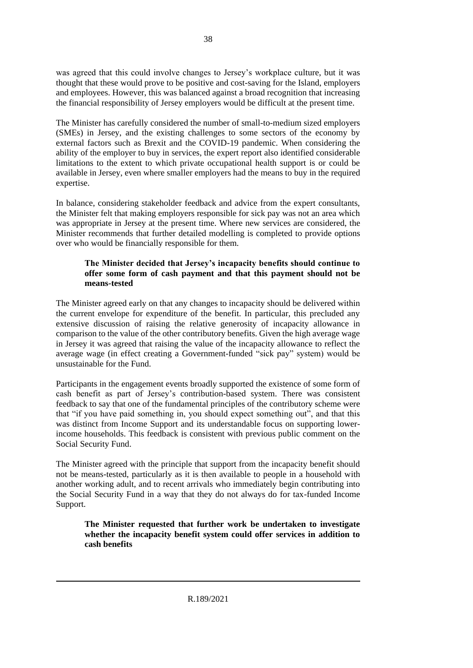was agreed that this could involve changes to Jersey's workplace culture, but it was thought that these would prove to be positive and cost-saving for the Island, employers and employees. However, this was balanced against a broad recognition that increasing the financial responsibility of Jersey employers would be difficult at the present time.

The Minister has carefully considered the number of small-to-medium sized employers (SMEs) in Jersey, and the existing challenges to some sectors of the economy by external factors such as Brexit and the COVID-19 pandemic. When considering the ability of the employer to buy in services, the expert report also identified considerable limitations to the extent to which private occupational health support is or could be available in Jersey, even where smaller employers had the means to buy in the required expertise.

In balance, considering stakeholder feedback and advice from the expert consultants, the Minister felt that making employers responsible for sick pay was not an area which was appropriate in Jersey at the present time. Where new services are considered, the Minister recommends that further detailed modelling is completed to provide options over who would be financially responsible for them.

#### **The Minister decided that Jersey's incapacity benefits should continue to offer some form of cash payment and that this payment should not be means-tested**

The Minister agreed early on that any changes to incapacity should be delivered within the current envelope for expenditure of the benefit. In particular, this precluded any extensive discussion of raising the relative generosity of incapacity allowance in comparison to the value of the other contributory benefits. Given the high average wage in Jersey it was agreed that raising the value of the incapacity allowance to reflect the average wage (in effect creating a Government-funded "sick pay" system) would be unsustainable for the Fund.

Participants in the engagement events broadly supported the existence of some form of cash benefit as part of Jersey's contribution-based system. There was consistent feedback to say that one of the fundamental principles of the contributory scheme were that "if you have paid something in, you should expect something out", and that this was distinct from Income Support and its understandable focus on supporting lowerincome households. This feedback is consistent with previous public comment on the Social Security Fund.

The Minister agreed with the principle that support from the incapacity benefit should not be means-tested, particularly as it is then available to people in a household with another working adult, and to recent arrivals who immediately begin contributing into the Social Security Fund in a way that they do not always do for tax-funded Income Support.

**The Minister requested that further work be undertaken to investigate whether the incapacity benefit system could offer services in addition to cash benefits**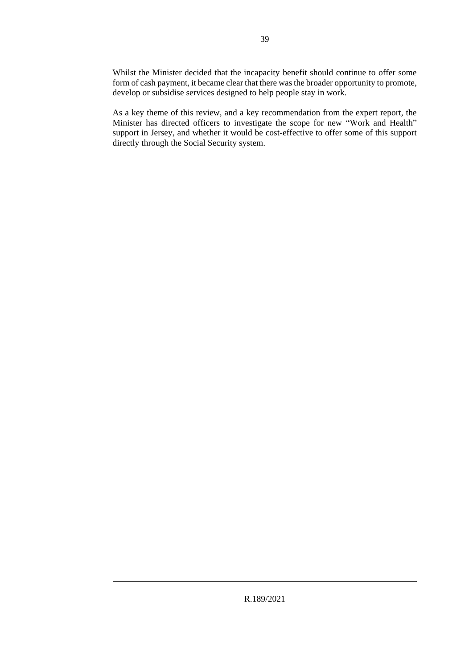Whilst the Minister decided that the incapacity benefit should continue to offer some form of cash payment, it became clear that there was the broader opportunity to promote, develop or subsidise services designed to help people stay in work.

As a key theme of this review, and a key recommendation from the expert report, the Minister has directed officers to investigate the scope for new "Work and Health" support in Jersey, and whether it would be cost-effective to offer some of this support directly through the Social Security system.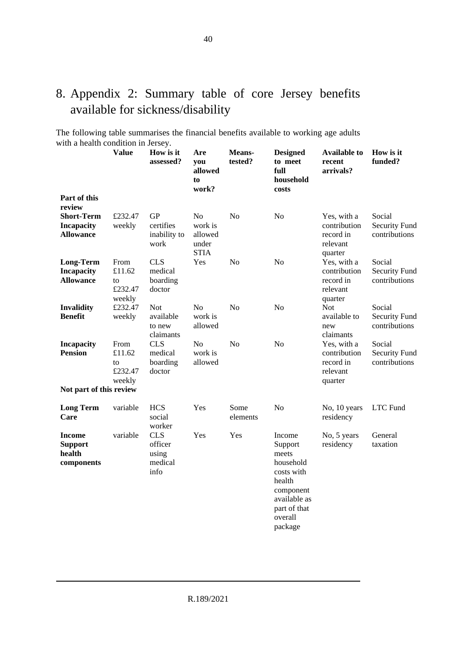### <span id="page-39-0"></span>8. Appendix 2: Summary table of core Jersey benefits available for sickness/disability

The following table summarises the financial benefits available to working age adults with a health condition in Jersey.

|                                                           | <b>Value</b>                              | How is it<br>assessed?                            | Are<br>you<br>allowed<br>to<br>work?                         | Means-<br>tested? | <b>Designed</b><br>to meet<br>full<br>household<br>costs                                                                           | <b>Available to</b><br>recent<br>arrivals?                      | How is it<br>funded?                            |
|-----------------------------------------------------------|-------------------------------------------|---------------------------------------------------|--------------------------------------------------------------|-------------------|------------------------------------------------------------------------------------------------------------------------------------|-----------------------------------------------------------------|-------------------------------------------------|
| Part of this<br>review                                    |                                           |                                                   |                                                              |                   |                                                                                                                                    |                                                                 |                                                 |
| Short-Term<br><b>Incapacity</b><br><b>Allowance</b>       | £232.47<br>weekly                         | <b>GP</b><br>certifies<br>inability to<br>work    | N <sub>o</sub><br>work is<br>allowed<br>under<br><b>STIA</b> | N <sub>o</sub>    | N <sub>o</sub>                                                                                                                     | Yes, with a<br>contribution<br>record in<br>relevant<br>quarter | Social<br><b>Security Fund</b><br>contributions |
| <b>Long-Term</b><br><b>Incapacity</b><br><b>Allowance</b> | From<br>£11.62<br>to<br>£232.47<br>weekly | <b>CLS</b><br>medical<br>boarding<br>doctor       | Yes                                                          | No                | N <sub>o</sub>                                                                                                                     | Yes, with a<br>contribution<br>record in<br>relevant<br>quarter | Social<br>Security Fund<br>contributions        |
| <b>Invalidity</b><br><b>Benefit</b>                       | £232.47<br>weekly                         | <b>Not</b><br>available<br>to new<br>claimants    | N <sub>o</sub><br>work is<br>allowed                         | N <sub>o</sub>    | No                                                                                                                                 | <b>Not</b><br>available to<br>new<br>claimants                  | Social<br><b>Security Fund</b><br>contributions |
| <b>Incapacity</b><br><b>Pension</b>                       | From<br>£11.62<br>to<br>£232.47<br>weekly | <b>CLS</b><br>medical<br>boarding<br>doctor       | N <sub>o</sub><br>work is<br>allowed                         | N <sub>0</sub>    | N <sub>o</sub>                                                                                                                     | Yes, with a<br>contribution<br>record in<br>relevant<br>quarter | Social<br><b>Security Fund</b><br>contributions |
| Not part of this review                                   |                                           |                                                   |                                                              |                   |                                                                                                                                    |                                                                 |                                                 |
| <b>Long Term</b><br>Care                                  | variable                                  | <b>HCS</b><br>social<br>worker                    | Yes                                                          | Some<br>elements  | N <sub>o</sub>                                                                                                                     | No, 10 years<br>residency                                       | LTC Fund                                        |
| <b>Income</b><br><b>Support</b><br>health<br>components   | variable                                  | <b>CLS</b><br>officer<br>using<br>medical<br>info | Yes                                                          | Yes               | Income<br>Support<br>meets<br>household<br>costs with<br>health<br>component<br>available as<br>part of that<br>overall<br>package | No, 5 years<br>residency                                        | General<br>taxation                             |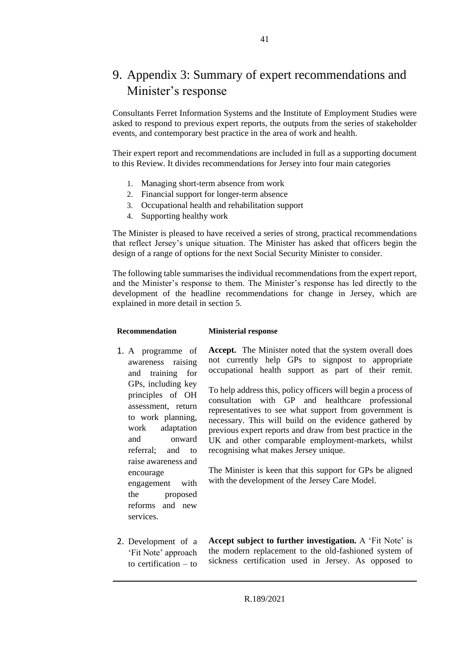### <span id="page-40-0"></span>9. Appendix 3: Summary of expert recommendations and Minister's response

Consultants Ferret Information Systems and the Institute of Employment Studies were asked to respond to previous expert reports, the outputs from the series of stakeholder events, and contemporary best practice in the area of work and health.

Their expert report and recommendations are included in full as a supporting document to this Review. It divides recommendations for Jersey into four main categories

- 1. Managing short-term absence from work
- 2. Financial support for longer-term absence
- 3. Occupational health and rehabilitation support
- 4. Supporting healthy work

The Minister is pleased to have received a series of strong, practical recommendations that reflect Jersey's unique situation. The Minister has asked that officers begin the design of a range of options for the next Social Security Minister to consider.

The following table summarises the individual recommendations from the expert report, and the Minister's response to them. The Minister's response has led directly to the development of the headline recommendations for change in Jersey, which are explained in more detail in section 5.

#### **Recommendation Ministerial response**

engagement with the proposed reforms and new

services.

1. A programme of awareness raising and training for GPs, including key principles of OH assessment, return to work planning, work adaptation and onward referral; and to raise awareness and encourage **Accept.** The Minister noted that the system overall does not currently help GPs to signpost to appropriate occupational health support as part of their remit. To help address this, policy officers will begin a process of consultation with GP and healthcare professional representatives to see what support from government is necessary. This will build on the evidence gathered by previous expert reports and draw from best practice in the UK and other comparable employment-markets, whilst recognising what makes Jersey unique. The Minister is keen that this support for GPs be aligned

with the development of the Jersey Care Model.

2. Development of a 'Fit Note' approach to certification – to **Accept subject to further investigation.** A 'Fit Note' is the modern replacement to the old-fashioned system of sickness certification used in Jersey. As opposed to

R.189/2021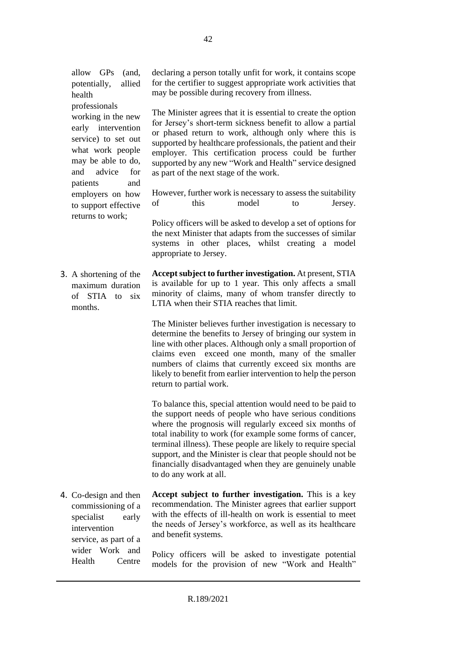allow GPs (and, potentially, allied health

professionals working in the new early intervention service) to set out what work people may be able to do, and advice for patients and employers on how to support effective returns to work;

wider Work and Health Centre declaring a person totally unfit for work, it contains scope for the certifier to suggest appropriate work activities that may be possible during recovery from illness.

The Minister agrees that it is essential to create the option for Jersey's short-term sickness benefit to allow a partial or phased return to work, although only where this is supported by healthcare professionals, the patient and their employer. This certification process could be further supported by any new "Work and Health" service designed as part of the next stage of the work.

However, further work is necessary to assess the suitability of this model to Jersey.

Policy officers will be asked to develop a set of options for the next Minister that adapts from the successes of similar systems in other places, whilst creating a model appropriate to Jersey.

3. A shortening of the maximum duration of STIA to six months. **Accept subject to further investigation.** At present, STIA is available for up to 1 year. This only affects a small minority of claims, many of whom transfer directly to LTIA when their STIA reaches that limit.

> The Minister believes further investigation is necessary to determine the benefits to Jersey of bringing our system in line with other places. Although only a small proportion of claims even exceed one month, many of the smaller numbers of claims that currently exceed six months are likely to benefit from earlier intervention to help the person return to partial work.

> To balance this, special attention would need to be paid to the support needs of people who have serious conditions where the prognosis will regularly exceed six months of total inability to work (for example some forms of cancer, terminal illness). These people are likely to require special support, and the Minister is clear that people should not be financially disadvantaged when they are genuinely unable to do any work at all.

4. Co-design and then commissioning of a specialist early intervention service, as part of a **Accept subject to further investigation.** This is a key recommendation. The Minister agrees that earlier support with the effects of ill-health on work is essential to meet the needs of Jersey's workforce, as well as its healthcare and benefit systems.

> Policy officers will be asked to investigate potential models for the provision of new "Work and Health"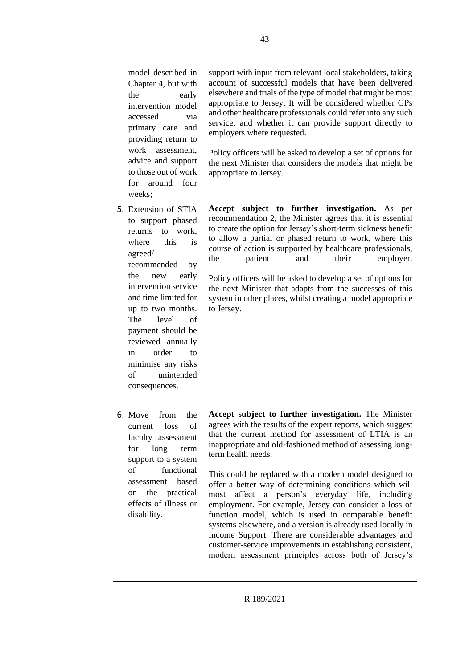model described in Chapter 4, but with the early intervention model accessed via primary care and providing return to work assessment, advice and support to those out of work for around four weeks;

- 5. Extension of STIA to support phased returns to work, where this is agreed/ recommended by the new early intervention service and time limited for up to two months. The level of payment should be reviewed annually in order to minimise any risks of unintended consequences.
- 6. Move from the current loss of faculty assessment for long term support to a system of functional assessment based on the practical effects of illness or disability.

support with input from relevant local stakeholders, taking account of successful models that have been delivered elsewhere and trials of the type of model that might be most appropriate to Jersey. It will be considered whether GPs and other healthcare professionals could refer into any such service; and whether it can provide support directly to employers where requested.

Policy officers will be asked to develop a set of options for the next Minister that considers the models that might be appropriate to Jersey.

**Accept subject to further investigation.** As per recommendation 2, the Minister agrees that it is essential to create the option for Jersey's short-term sickness benefit to allow a partial or phased return to work, where this course of action is supported by healthcare professionals, the patient and their employer.

Policy officers will be asked to develop a set of options for the next Minister that adapts from the successes of this system in other places, whilst creating a model appropriate to Jersey.

**Accept subject to further investigation.** The Minister agrees with the results of the expert reports, which suggest that the current method for assessment of LTIA is an inappropriate and old-fashioned method of assessing longterm health needs.

This could be replaced with a modern model designed to offer a better way of determining conditions which will most affect a person's everyday life, including employment. For example, Jersey can consider a loss of function model, which is used in comparable benefit systems elsewhere, and a version is already used locally in Income Support. There are considerable advantages and customer-service improvements in establishing consistent, modern assessment principles across both of Jersey's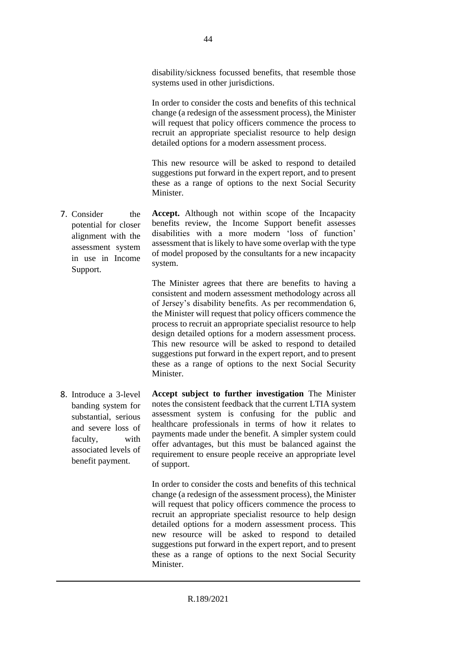disability/sickness focussed benefits, that resemble those systems used in other jurisdictions.

In order to consider the costs and benefits of this technical change (a redesign of the assessment process), the Minister will request that policy officers commence the process to recruit an appropriate specialist resource to help design detailed options for a modern assessment process.

This new resource will be asked to respond to detailed suggestions put forward in the expert report, and to present these as a range of options to the next Social Security Minister.

7. Consider the potential for closer alignment with the assessment system in use in Income **Accept.** Although not within scope of the Incapacity benefits review, the Income Support benefit assesses disabilities with a more modern 'loss of function' assessment that is likely to have some overlap with the type of model proposed by the consultants for a new incapacity system.

> The Minister agrees that there are benefits to having a consistent and modern assessment methodology across all of Jersey's disability benefits. As per recommendation 6, the Minister will request that policy officers commence the process to recruit an appropriate specialist resource to help design detailed options for a modern assessment process. This new resource will be asked to respond to detailed suggestions put forward in the expert report, and to present these as a range of options to the next Social Security Minister.

8. Introduce a 3-level banding system for substantial, serious and severe loss of faculty, with associated levels of benefit payment. **Accept subject to further investigation** The Minister notes the consistent feedback that the current LTIA system assessment system is confusing for the public and healthcare professionals in terms of how it relates to payments made under the benefit. A simpler system could offer advantages, but this must be balanced against the requirement to ensure people receive an appropriate level of support.

> In order to consider the costs and benefits of this technical change (a redesign of the assessment process), the Minister will request that policy officers commence the process to recruit an appropriate specialist resource to help design detailed options for a modern assessment process. This new resource will be asked to respond to detailed suggestions put forward in the expert report, and to present these as a range of options to the next Social Security Minister.

Support.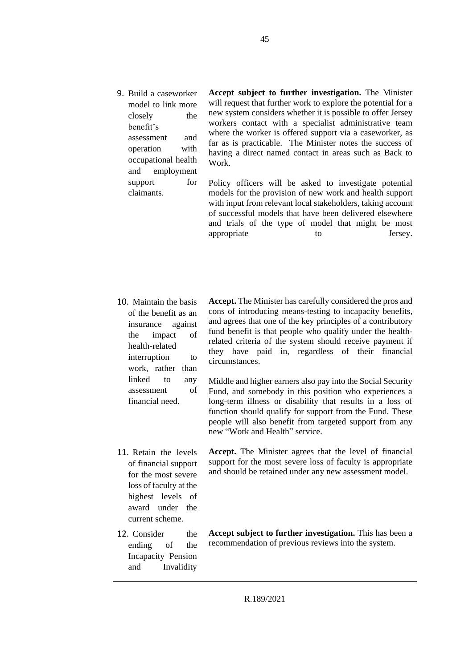9. Build a caseworker model to link more closely the benefit's assessment and operation with occupational health and employment support for claimants.

**Accept subject to further investigation.** The Minister will request that further work to explore the potential for a new system considers whether it is possible to offer Jersey workers contact with a specialist administrative team where the worker is offered support via a caseworker, as far as is practicable. The Minister notes the success of having a direct named contact in areas such as Back to Work.

Policy officers will be asked to investigate potential models for the provision of new work and health support with input from relevant local stakeholders, taking account of successful models that have been delivered elsewhere and trials of the type of model that might be most appropriate to be determined to be determined by the series of the series of the series of the series of the series of the series of the series of the series of the series of the series of the series of the series of the s

- 10. Maintain the basis of the benefit as an insurance against the impact of health-related interruption to work, rather than linked to any assessment of financial need.
- **Accept.** The Minister has carefully considered the pros and cons of introducing means-testing to incapacity benefits, and agrees that one of the key principles of a contributory fund benefit is that people who qualify under the healthrelated criteria of the system should receive payment if they have paid in, regardless of their financial circumstances.

Middle and higher earners also pay into the Social Security Fund, and somebody in this position who experiences a long-term illness or disability that results in a loss of function should qualify for support from the Fund. These people will also benefit from targeted support from any new "Work and Health" service.

11. Retain the levels of financial support for the most severe loss of faculty at the highest levels of award under the current scheme.

12. Consider the ending of the Incapacity Pension and Invalidity **Accept.** The Minister agrees that the level of financial support for the most severe loss of faculty is appropriate and should be retained under any new assessment model.

**Accept subject to further investigation.** This has been a recommendation of previous reviews into the system.

R.189/2021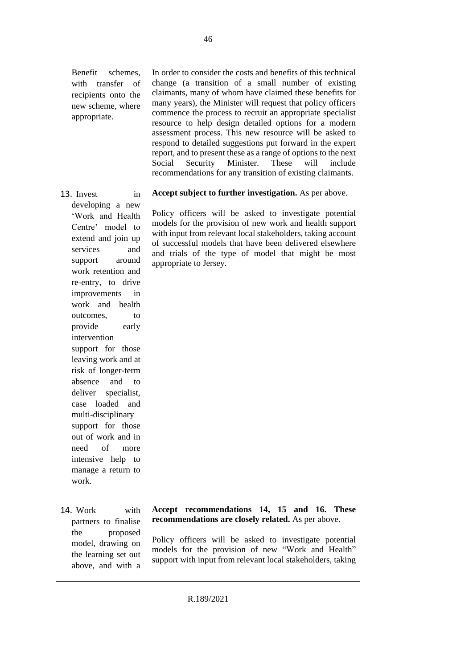Benefit schemes, with transfer of recipients onto the new scheme, where appropriate.

In order to consider the costs and benefits of this technical change (a transition of a small number of existing claimants, many of whom have claimed these benefits for many years), the Minister will request that policy officers commence the process to recruit an appropriate specialist resource to help design detailed options for a modern assessment process. This new resource will be asked to respond to detailed suggestions put forward in the expert report, and to present these as a range of options to the next Social Security Minister. These will include recommendations for any transition of existing claimants.

13. Invest in developing a new 'Work and Health Centre' model to extend and join up services and support around work retention and re-entry, to drive improvements in work and health outcomes, to provide early intervention support for those leaving work and at risk of longer-term absence and to deliver specialist, case loaded and multi-disciplinary support for those out of work and in need of more intensive help to manage a return to work.

14. Work with partners to finalise the proposed model, drawing on the learning set out above, and with a

#### **Accept subject to further investigation.** As per above.

Policy officers will be asked to investigate potential models for the provision of new work and health support with input from relevant local stakeholders, taking account of successful models that have been delivered elsewhere and trials of the type of model that might be most appropriate to Jersey.

**Accept recommendations 14, 15 and 16. These recommendations are closely related.** As per above.

Policy officers will be asked to investigate potential models for the provision of new "Work and Health" support with input from relevant local stakeholders, taking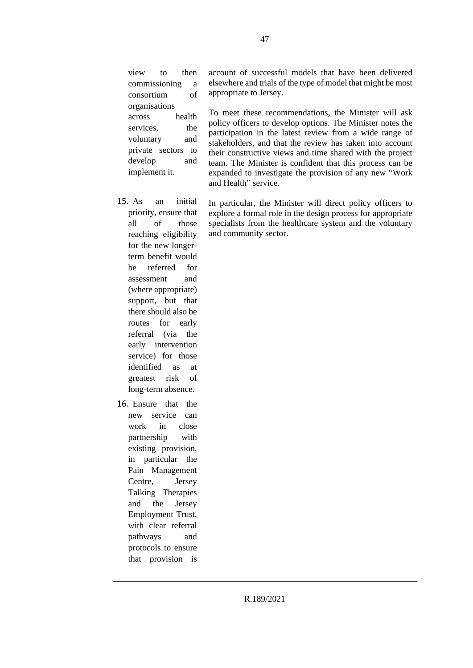view to then commissioning a consortium of organisations across health services. the voluntary and private sectors to develop and implement it.

- 15. As an initial priority, ensure that all of those reaching eligibility for the new longerterm benefit would be referred for assessment and (where appropriate) support, but that there should also be routes for early referral (via the early intervention service) for those identified as at greatest risk of long-term absence.
- 16. Ensure that the new service can work in close partnership with existing provision, in particular the Pain Management Centre, Jersey Talking Therapies and the Jersey Employment Trust, with clear referral pathways and protocols to ensure that provision is

account of successful models that have been delivered elsewhere and trials of the type of model that might be most appropriate to Jersey.

To meet these recommendations, the Minister will ask policy officers to develop options. The Minister notes the participation in the latest review from a wide range of stakeholders, and that the review has taken into account their constructive views and time shared with the project team. The Minister is confident that this process can be expanded to investigate the provision of any new "Work and Health" service.

In particular, the Minister will direct policy officers to explore a formal role in the design process for appropriate specialists from the healthcare system and the voluntary and community sector.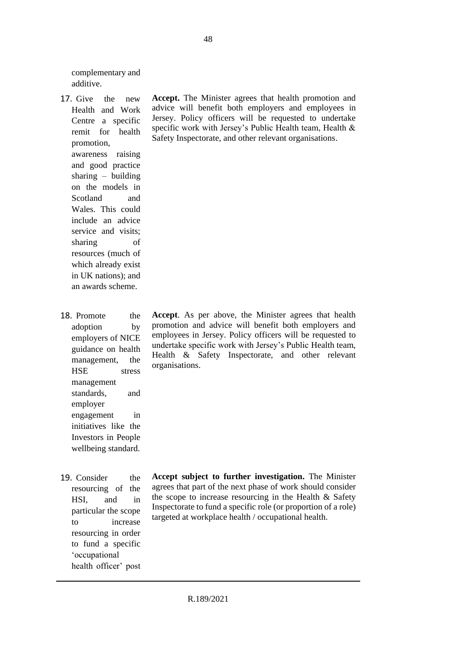complementary and additive.

- 17. Give the new Health and Work Centre a specific remit for health promotion, awareness raising and good practice sharing – building on the models in Scotland and Wales. This could include an advice service and visits; sharing of resources (much of which already exist in UK nations); and an awards scheme.
- 18. Promote the adoption by employers of NICE guidance on health management, the HSE stress management standards, and employer engagement in initiatives like the Investors in People wellbeing standard.
- 19. Consider the resourcing of the HSI, and in particular the scope to increase resourcing in order to fund a specific 'occupational health officer' post

**Accept.** The Minister agrees that health promotion and advice will benefit both employers and employees in Jersey. Policy officers will be requested to undertake specific work with Jersey's Public Health team, Health & Safety Inspectorate, and other relevant organisations.

**Accept**. As per above, the Minister agrees that health promotion and advice will benefit both employers and employees in Jersey. Policy officers will be requested to undertake specific work with Jersey's Public Health team, Health & Safety Inspectorate, and other relevant organisations.

**Accept subject to further investigation.** The Minister agrees that part of the next phase of work should consider the scope to increase resourcing in the Health & Safety Inspectorate to fund a specific role (or proportion of a role) targeted at workplace health / occupational health.

R.189/2021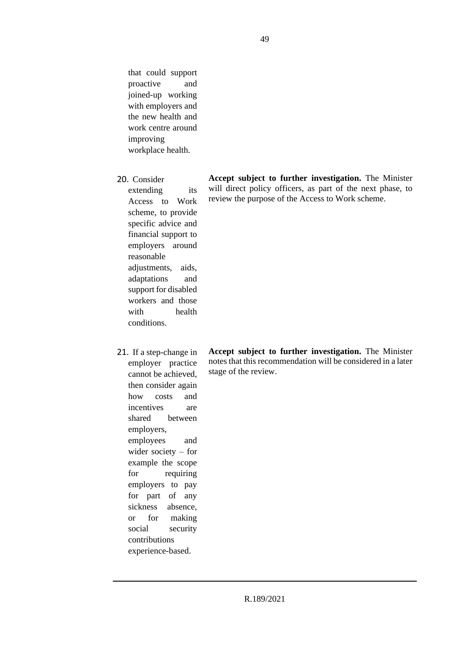that could support proactive and joined-up working with employers and the new health and work centre around improving workplace health.

20. Consider

extending its Access to Work scheme, to provide specific advice and financial support to employers around reasonable adjustments, aids, adaptations and support for disabled workers and those with health conditions.

21. If a step-change in employer practice cannot be achieved, then consider again how costs and incentives are shared between employers, employees and wider society – for example the scope for requiring employers to pay for part of any sickness absence, or for making social security contributions experience-based.

**Accept subject to further investigation.** The Minister notes that this recommendation will be considered in a later stage of the review.

**Accept subject to further investigation.** The Minister will direct policy officers, as part of the next phase, to review the purpose of the Access to Work scheme.